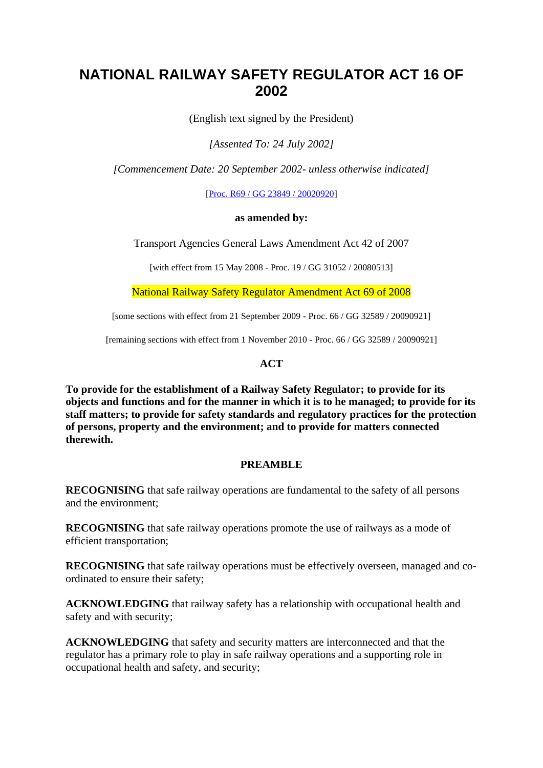# **NATIONAL RAILWAY SAFETY REGULATOR ACT 16 OF 2002**

(English text signed by the President)

*[Assented To: 24 July 2002]*

*[Commencement Date: 20 September 2002- unless otherwise indicated]*

[\[Proc. R69 / GG 23849 / 20020920\]](https://olddiscover.sabinet.co.za/webx/access/netlaw/16_2002_national_railway_safety_regulator_act_commence.pdf)

#### **as amended by:**

Transport Agencies General Laws Amendment Act 42 of 2007

[with effect from 15 May 2008 - Proc. 19 / GG 31052 / 20080513]

National Railway Safety Regulator Amendment Act 69 of 2008

[some sections with effect from 21 September 2009 - Proc. 66 / GG 32589 / 20090921]

[remaining sections with effect from 1 November 2010 - Proc. 66 / GG 32589 / 20090921]

#### **ACT**

**To provide for the establishment of a Railway Safety Regulator; to provide for its objects and functions and for the manner in which it is to he managed; to provide for its staff matters; to provide for safety standards and regulatory practices for the protection of persons, property and the environment; and to provide for matters connected therewith.**

#### **PREAMBLE**

**RECOGNISING** that safe railway operations are fundamental to the safety of all persons and the environment;

**RECOGNISING** that safe railway operations promote the use of railways as a mode of efficient transportation;

**RECOGNISING** that safe railway operations must be effectively overseen, managed and coordinated to ensure their safety;

**ACKNOWLEDGING** that railway safety has a relationship with occupational health and safety and with security;

**ACKNOWLEDGING** that safety and security matters are interconnected and that the regulator has a primary role to play in safe railway operations and a supporting role in occupational health and safety, and security;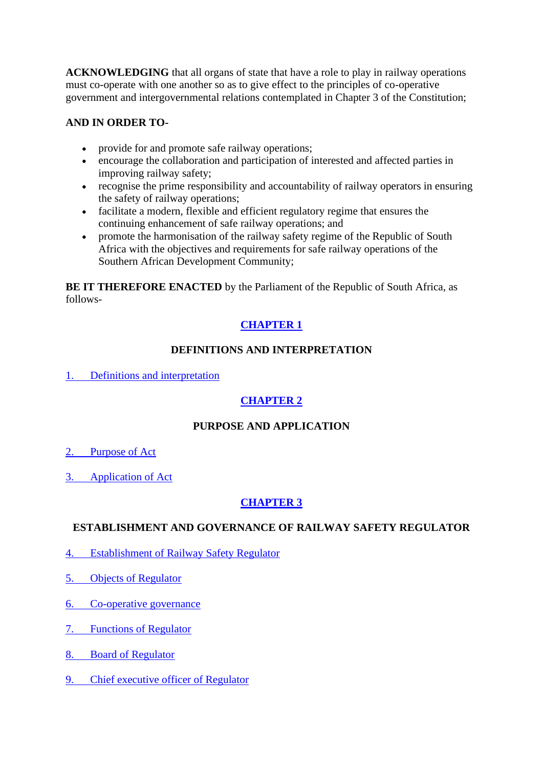**ACKNOWLEDGING** that all organs of state that have a role to play in railway operations must co-operate with one another so as to give effect to the principles of co-operative government and intergovernmental relations contemplated in Chapter 3 of the Constitution;

## **AND IN ORDER TO-**

- provide for and promote safe railway operations;
- encourage the collaboration and participation of interested and affected parties in improving railway safety;
- recognise the prime responsibility and accountability of railway operators in ensuring the safety of railway operations;
- facilitate a modern, flexible and efficient regulatory regime that ensures the continuing enhancement of safe railway operations; and
- promote the harmonisation of the railway safety regime of the Republic of South Africa with the objectives and requirements for safe railway operations of the Southern African Development Community;

**BE IT THEREFORE ENACTED** by the Parliament of the Republic of South Africa, as follows-

## **[CHAPTER 1](https://olddiscover.sabinet.co.za/webx/access/netlaw/16_2002_national_railway_safety_regulator_act.htm#chapter1)**

### **DEFINITIONS AND INTERPRETATION**

[1. Definitions and interpretation](https://olddiscover.sabinet.co.za/webx/access/netlaw/16_2002_national_railway_safety_regulator_act.htm#section1)

## **[CHAPTER 2](https://olddiscover.sabinet.co.za/webx/access/netlaw/16_2002_national_railway_safety_regulator_act.htm#chapter2)**

### **PURPOSE AND APPLICATION**

- [2. Purpose of Act](https://olddiscover.sabinet.co.za/webx/access/netlaw/16_2002_national_railway_safety_regulator_act.htm#section2)
- [3. Application of Act](https://olddiscover.sabinet.co.za/webx/access/netlaw/16_2002_national_railway_safety_regulator_act.htm#section3)

### **[CHAPTER 3](https://olddiscover.sabinet.co.za/webx/access/netlaw/16_2002_national_railway_safety_regulator_act.htm#chapter3)**

#### **ESTABLISHMENT AND GOVERNANCE OF RAILWAY SAFETY REGULATOR**

- [4. Establishment of Railway Safety Regulator](https://olddiscover.sabinet.co.za/webx/access/netlaw/16_2002_national_railway_safety_regulator_act.htm#section4)
- [5. Objects of Regulator](https://olddiscover.sabinet.co.za/webx/access/netlaw/16_2002_national_railway_safety_regulator_act.htm#section5)
- [6. Co-operative governance](https://olddiscover.sabinet.co.za/webx/access/netlaw/16_2002_national_railway_safety_regulator_act.htm#section6)
- [7. Functions of Regulator](https://olddiscover.sabinet.co.za/webx/access/netlaw/16_2002_national_railway_safety_regulator_act.htm#section7)
- [8. Board of Regulator](https://olddiscover.sabinet.co.za/webx/access/netlaw/16_2002_national_railway_safety_regulator_act.htm#section8)
- [9. Chief executive officer of Regulator](https://olddiscover.sabinet.co.za/webx/access/netlaw/16_2002_national_railway_safety_regulator_act.htm#section9)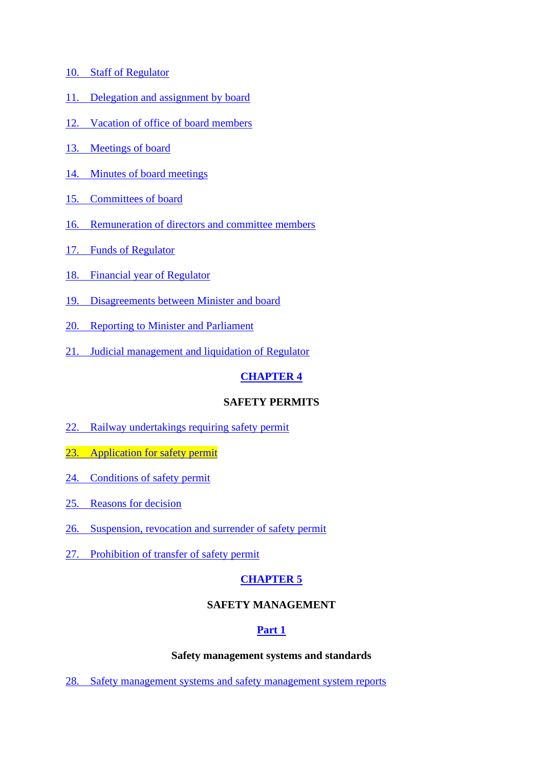- [10. Staff of Regulator](https://olddiscover.sabinet.co.za/webx/access/netlaw/16_2002_national_railway_safety_regulator_act.htm#section10)
- [11. Delegation and assignment by board](https://olddiscover.sabinet.co.za/webx/access/netlaw/16_2002_national_railway_safety_regulator_act.htm#section11)
- [12. Vacation of office of board members](https://olddiscover.sabinet.co.za/webx/access/netlaw/16_2002_national_railway_safety_regulator_act.htm#section12)
- [13. Meetings of board](https://olddiscover.sabinet.co.za/webx/access/netlaw/16_2002_national_railway_safety_regulator_act.htm#section13)
- [14. Minutes of board meetings](https://olddiscover.sabinet.co.za/webx/access/netlaw/16_2002_national_railway_safety_regulator_act.htm#section14)
- [15. Committees of board](https://olddiscover.sabinet.co.za/webx/access/netlaw/16_2002_national_railway_safety_regulator_act.htm#section15)
- [16. Remuneration of directors and committee members](https://olddiscover.sabinet.co.za/webx/access/netlaw/16_2002_national_railway_safety_regulator_act.htm#section16)
- [17. Funds of Regulator](https://olddiscover.sabinet.co.za/webx/access/netlaw/16_2002_national_railway_safety_regulator_act.htm#section17)
- [18. Financial year of Regulator](https://olddiscover.sabinet.co.za/webx/access/netlaw/16_2002_national_railway_safety_regulator_act.htm#section18)
- [19. Disagreements between Minister and board](https://olddiscover.sabinet.co.za/webx/access/netlaw/16_2002_national_railway_safety_regulator_act.htm#section19)
- [20. Reporting to Minister and Parliament](https://olddiscover.sabinet.co.za/webx/access/netlaw/16_2002_national_railway_safety_regulator_act.htm#section20)
- [21. Judicial management and liquidation of Regulator](https://olddiscover.sabinet.co.za/webx/access/netlaw/16_2002_national_railway_safety_regulator_act.htm#section21)

### **[CHAPTER 4](https://olddiscover.sabinet.co.za/webx/access/netlaw/16_2002_national_railway_safety_regulator_act.htm#chapter4)**

### **SAFETY PERMITS**

- [22. Railway undertakings requiring safety permit](https://olddiscover.sabinet.co.za/webx/access/netlaw/16_2002_national_railway_safety_regulator_act.htm#section22)
- [23. Application for safety permit](https://olddiscover.sabinet.co.za/webx/access/netlaw/16_2002_national_railway_safety_regulator_act.htm#section23)
- [24. Conditions of safety permit](https://olddiscover.sabinet.co.za/webx/access/netlaw/16_2002_national_railway_safety_regulator_act.htm#section24)
- [25. Reasons for decision](https://olddiscover.sabinet.co.za/webx/access/netlaw/16_2002_national_railway_safety_regulator_act.htm#section25)
- [26. Suspension, revocation and surrender of safety permit](https://olddiscover.sabinet.co.za/webx/access/netlaw/16_2002_national_railway_safety_regulator_act.htm#section26)
- [27. Prohibition of transfer of safety permit](https://olddiscover.sabinet.co.za/webx/access/netlaw/16_2002_national_railway_safety_regulator_act.htm#section27)

## **[CHAPTER 5](https://olddiscover.sabinet.co.za/webx/access/netlaw/16_2002_national_railway_safety_regulator_act.htm#chapter5)**

### **SAFETY MANAGEMENT**

### **[Part 1](https://olddiscover.sabinet.co.za/webx/access/netlaw/16_2002_national_railway_safety_regulator_act.htm#chapter5_part1)**

#### **Safety management systems and standards**

[28. Safety management systems and safety management system reports](https://olddiscover.sabinet.co.za/webx/access/netlaw/16_2002_national_railway_safety_regulator_act.htm#section28)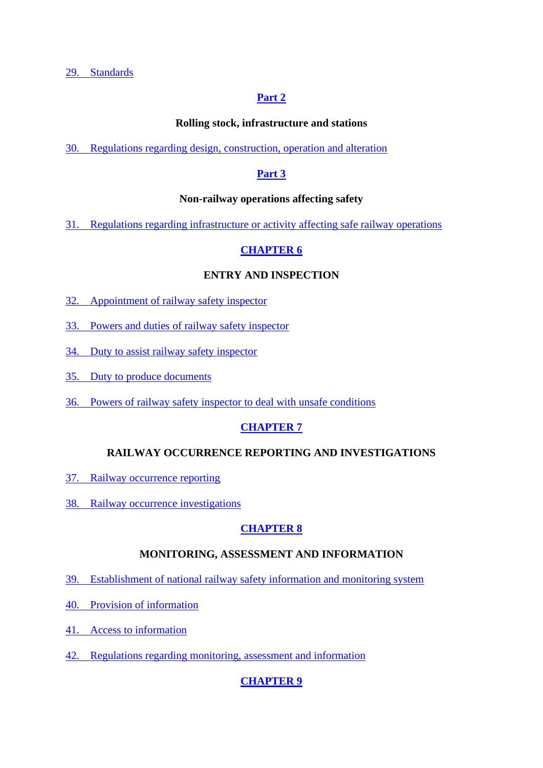[29. Standards](https://olddiscover.sabinet.co.za/webx/access/netlaw/16_2002_national_railway_safety_regulator_act.htm#section29)

#### **[Part 2](https://olddiscover.sabinet.co.za/webx/access/netlaw/16_2002_national_railway_safety_regulator_act.htm#chapter5_part2)**

#### **Rolling stock, infrastructure and stations**

[30. Regulations regarding design, construction, operation and alteration](https://olddiscover.sabinet.co.za/webx/access/netlaw/16_2002_national_railway_safety_regulator_act.htm#section30)

#### **[Part 3](https://olddiscover.sabinet.co.za/webx/access/netlaw/16_2002_national_railway_safety_regulator_act.htm#chapter5_part3)**

#### **Non-railway operations affecting safety**

[31. Regulations regarding infrastructure or activity affecting safe railway operations](https://olddiscover.sabinet.co.za/webx/access/netlaw/16_2002_national_railway_safety_regulator_act.htm#section31)

### **[CHAPTER 6](https://olddiscover.sabinet.co.za/webx/access/netlaw/16_2002_national_railway_safety_regulator_act.htm#chapter6)**

#### **ENTRY AND INSPECTION**

- [32. Appointment of railway safety inspector](https://olddiscover.sabinet.co.za/webx/access/netlaw/16_2002_national_railway_safety_regulator_act.htm#section32)
- [33. Powers and duties of railway safety inspector](https://olddiscover.sabinet.co.za/webx/access/netlaw/16_2002_national_railway_safety_regulator_act.htm#section33)
- [34. Duty to assist railway safety inspector](https://olddiscover.sabinet.co.za/webx/access/netlaw/16_2002_national_railway_safety_regulator_act.htm#section34)
- [35. Duty to produce documents](https://olddiscover.sabinet.co.za/webx/access/netlaw/16_2002_national_railway_safety_regulator_act.htm#section35)
- [36. Powers of railway safety inspector to deal with unsafe conditions](https://olddiscover.sabinet.co.za/webx/access/netlaw/16_2002_national_railway_safety_regulator_act.htm#section36)

### **[CHAPTER 7](https://olddiscover.sabinet.co.za/webx/access/netlaw/16_2002_national_railway_safety_regulator_act.htm#chapter7)**

#### **RAILWAY OCCURRENCE REPORTING AND INVESTIGATIONS**

- [37. Railway occurrence reporting](https://olddiscover.sabinet.co.za/webx/access/netlaw/16_2002_national_railway_safety_regulator_act.htm#section37)
- [38. Railway occurrence investigations](https://olddiscover.sabinet.co.za/webx/access/netlaw/16_2002_national_railway_safety_regulator_act.htm#section38)

#### **[CHAPTER 8](https://olddiscover.sabinet.co.za/webx/access/netlaw/16_2002_national_railway_safety_regulator_act.htm#chapter8)**

#### **MONITORING, ASSESSMENT AND INFORMATION**

- [39. Establishment of national railway safety information and monitoring system](https://olddiscover.sabinet.co.za/webx/access/netlaw/16_2002_national_railway_safety_regulator_act.htm#section39)
- [40. Provision of information](https://olddiscover.sabinet.co.za/webx/access/netlaw/16_2002_national_railway_safety_regulator_act.htm#section40)
- [41. Access to information](https://olddiscover.sabinet.co.za/webx/access/netlaw/16_2002_national_railway_safety_regulator_act.htm#section41)
- [42. Regulations regarding monitoring, assessment and information](https://olddiscover.sabinet.co.za/webx/access/netlaw/16_2002_national_railway_safety_regulator_act.htm#section42)

### **[CHAPTER 9](https://olddiscover.sabinet.co.za/webx/access/netlaw/16_2002_national_railway_safety_regulator_act.htm#chapter9)**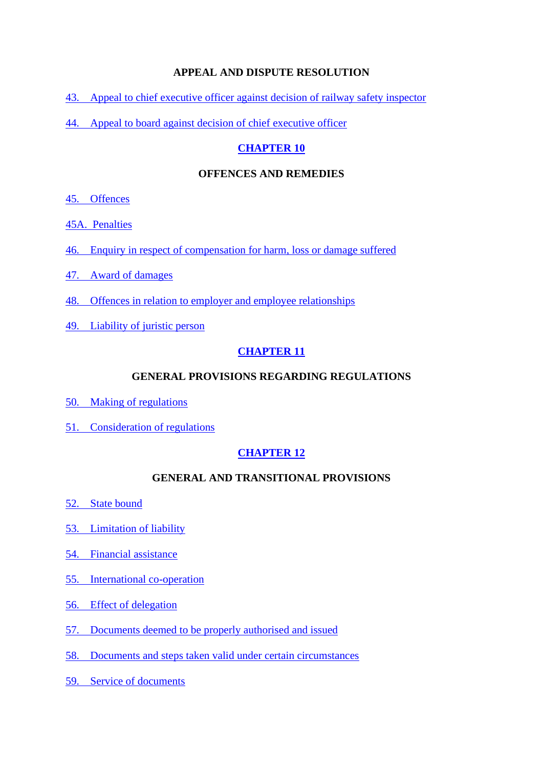#### **APPEAL AND DISPUTE RESOLUTION**

- [43. Appeal to chief executive officer against decision of railway safety inspector](https://olddiscover.sabinet.co.za/webx/access/netlaw/16_2002_national_railway_safety_regulator_act.htm#section43)
- [44. Appeal to board against decision of chief executive officer](https://olddiscover.sabinet.co.za/webx/access/netlaw/16_2002_national_railway_safety_regulator_act.htm#section44)

#### **[CHAPTER 10](https://olddiscover.sabinet.co.za/webx/access/netlaw/16_2002_national_railway_safety_regulator_act.htm#chapter10)**

#### **OFFENCES AND REMEDIES**

- [45. Offences](https://olddiscover.sabinet.co.za/webx/access/netlaw/16_2002_national_railway_safety_regulator_act.htm#section45)
- 45A. [Penalties](https://olddiscover.sabinet.co.za/webx/access/netlaw/16_2002_national_railway_safety_regulator_act.htm#section45A)
- [46. Enquiry in respect of compensation for harm, loss or damage suffered](https://olddiscover.sabinet.co.za/webx/access/netlaw/16_2002_national_railway_safety_regulator_act.htm#section46)
- [47. Award of damages](https://olddiscover.sabinet.co.za/webx/access/netlaw/16_2002_national_railway_safety_regulator_act.htm#section47)
- [48. Offences in relation to employer and employee relationships](https://olddiscover.sabinet.co.za/webx/access/netlaw/16_2002_national_railway_safety_regulator_act.htm#section48)
- [49. Liability of juristic person](https://olddiscover.sabinet.co.za/webx/access/netlaw/16_2002_national_railway_safety_regulator_act.htm#section49)

#### **[CHAPTER 11](https://olddiscover.sabinet.co.za/webx/access/netlaw/16_2002_national_railway_safety_regulator_act.htm#chapter11)**

#### **GENERAL PROVISIONS REGARDING REGULATIONS**

- [50. Making of regulations](https://olddiscover.sabinet.co.za/webx/access/netlaw/16_2002_national_railway_safety_regulator_act.htm#section50)
- [51. Consideration of regulations](https://olddiscover.sabinet.co.za/webx/access/netlaw/16_2002_national_railway_safety_regulator_act.htm#section51)

#### **[CHAPTER 12](https://olddiscover.sabinet.co.za/webx/access/netlaw/16_2002_national_railway_safety_regulator_act.htm#chapter12)**

#### **GENERAL AND TRANSITIONAL PROVISIONS**

- [52. State bound](https://olddiscover.sabinet.co.za/webx/access/netlaw/16_2002_national_railway_safety_regulator_act.htm#section52)
- [53. Limitation of liability](https://olddiscover.sabinet.co.za/webx/access/netlaw/16_2002_national_railway_safety_regulator_act.htm#section53)
- [54. Financial assistance](https://olddiscover.sabinet.co.za/webx/access/netlaw/16_2002_national_railway_safety_regulator_act.htm#section54)
- [55. International co-operation](https://olddiscover.sabinet.co.za/webx/access/netlaw/16_2002_national_railway_safety_regulator_act.htm#section55)
- [56. Effect of delegation](https://olddiscover.sabinet.co.za/webx/access/netlaw/16_2002_national_railway_safety_regulator_act.htm#section56)
- [57. Documents deemed to be properly authorised and issued](https://olddiscover.sabinet.co.za/webx/access/netlaw/16_2002_national_railway_safety_regulator_act.htm#section57)
- [58. Documents and steps taken valid under certain circumstances](https://olddiscover.sabinet.co.za/webx/access/netlaw/16_2002_national_railway_safety_regulator_act.htm#section58)
- [59. Service of documents](https://olddiscover.sabinet.co.za/webx/access/netlaw/16_2002_national_railway_safety_regulator_act.htm#section59)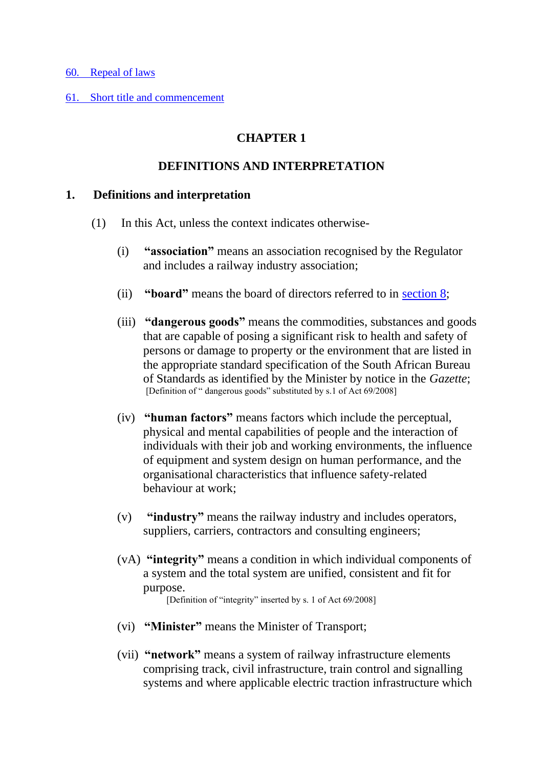#### [60. Repeal of laws](https://olddiscover.sabinet.co.za/webx/access/netlaw/16_2002_national_railway_safety_regulator_act.htm#section60)

[61. Short title and commencement](https://olddiscover.sabinet.co.za/webx/access/netlaw/16_2002_national_railway_safety_regulator_act.htm#section61)

## **CHAPTER 1**

### **DEFINITIONS AND INTERPRETATION**

#### **1. Definitions and interpretation**

- (1) In this Act, unless the context indicates otherwise-
	- (i) **"association"** means an association recognised by the Regulator and includes a railway industry association;
	- (ii) **"board"** means the board of directors referred to in [section 8;](https://olddiscover.sabinet.co.za/webx/access/netlaw/16_2002_national_railway_safety_regulator_act.htm#section8)
	- (iii) **"dangerous goods"** means the commodities, substances and goods that are capable of posing a significant risk to health and safety of persons or damage to property or the environment that are listed in the appropriate standard specification of the South African Bureau of Standards as identified by the Minister by notice in the *Gazette*; [Definition of " dangerous goods" substituted by s.1 of Act 69/2008]
	- (iv) **"human factors"** means factors which include the perceptual, physical and mental capabilities of people and the interaction of individuals with their job and working environments, the influence of equipment and system design on human performance, and the organisational characteristics that influence safety-related behaviour at work;
	- (v) **"industry"** means the railway industry and includes operators, suppliers, carriers, contractors and consulting engineers;
	- (vA) **"integrity"** means a condition in which individual components of a system and the total system are unified, consistent and fit for purpose.

[Definition of "integrity" inserted by s. 1 of Act 69/2008]

- (vi) **"Minister"** means the Minister of Transport;
- (vii) **"network"** means a system of railway infrastructure elements comprising track, civil infrastructure, train control and signalling systems and where applicable electric traction infrastructure which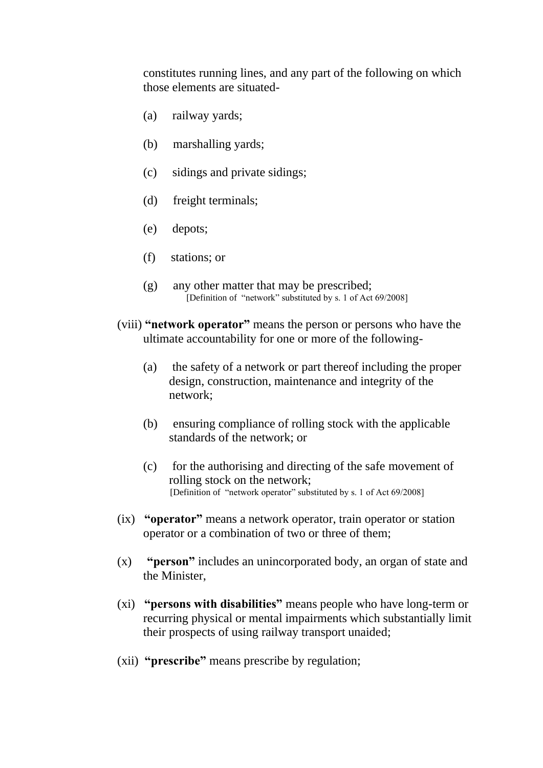constitutes running lines, and any part of the following on which those elements are situated-

- (a) railway yards;
- (b) marshalling yards;
- (c) sidings and private sidings;
- (d) freight terminals;
- (e) depots;
- (f) stations; or
- (g) any other matter that may be prescribed; [Definition of "network" substituted by s. 1 of Act 69/2008]
- (viii) **"network operator"** means the person or persons who have the ultimate accountability for one or more of the following-
	- (a) the safety of a network or part thereof including the proper design, construction, maintenance and integrity of the network;
	- (b) ensuring compliance of rolling stock with the applicable standards of the network; or
	- (c) for the authorising and directing of the safe movement of rolling stock on the network; [Definition of "network operator" substituted by s. 1 of Act 69/2008]
- (ix) **"operator"** means a network operator, train operator or station operator or a combination of two or three of them;
- (x) **"person"** includes an unincorporated body, an organ of state and the Minister,
- (xi) **"persons with disabilities"** means people who have long-term or recurring physical or mental impairments which substantially limit their prospects of using railway transport unaided;
- (xii) **"prescribe"** means prescribe by regulation;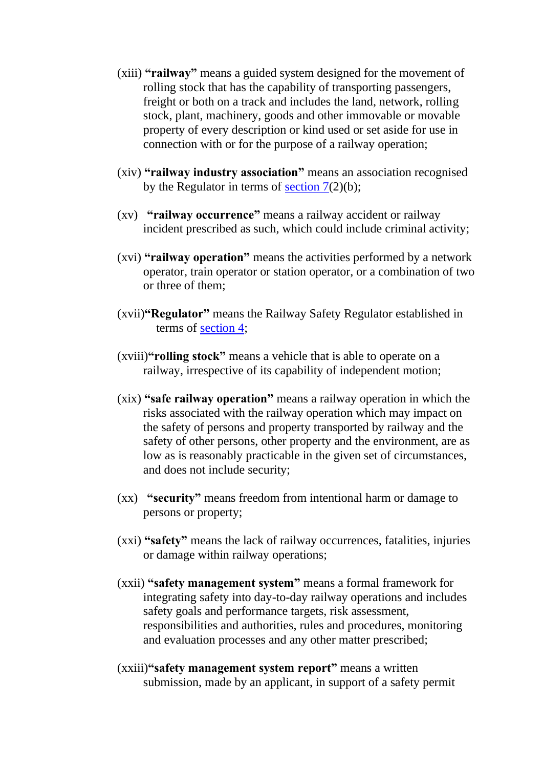- (xiii) **"railway"** means a guided system designed for the movement of rolling stock that has the capability of transporting passengers, freight or both on a track and includes the land, network, rolling stock, plant, machinery, goods and other immovable or movable property of every description or kind used or set aside for use in connection with or for the purpose of a railway operation;
- (xiv) **"railway industry association"** means an association recognised by the Regulator in terms of section  $7(2)(b)$ ;
- (xv) **"railway occurrence"** means a railway accident or railway incident prescribed as such, which could include criminal activity;
- (xvi) **"railway operation"** means the activities performed by a network operator, train operator or station operator, or a combination of two or three of them;
- (xvii)**"Regulator"** means the Railway Safety Regulator established in terms of [section 4;](https://olddiscover.sabinet.co.za/webx/access/netlaw/16_2002_national_railway_safety_regulator_act.htm#section4)
- (xviii)**"rolling stock"** means a vehicle that is able to operate on a railway, irrespective of its capability of independent motion;
- (xix) **"safe railway operation"** means a railway operation in which the risks associated with the railway operation which may impact on the safety of persons and property transported by railway and the safety of other persons, other property and the environment, are as low as is reasonably practicable in the given set of circumstances, and does not include security;
- (xx) **"security"** means freedom from intentional harm or damage to persons or property;
- (xxi) **"safety"** means the lack of railway occurrences, fatalities, injuries or damage within railway operations;
- (xxii) **"safety management system"** means a formal framework for integrating safety into day-to-day railway operations and includes safety goals and performance targets, risk assessment, responsibilities and authorities, rules and procedures, monitoring and evaluation processes and any other matter prescribed;
- (xxiii)**"safety management system report"** means a written submission, made by an applicant, in support of a safety permit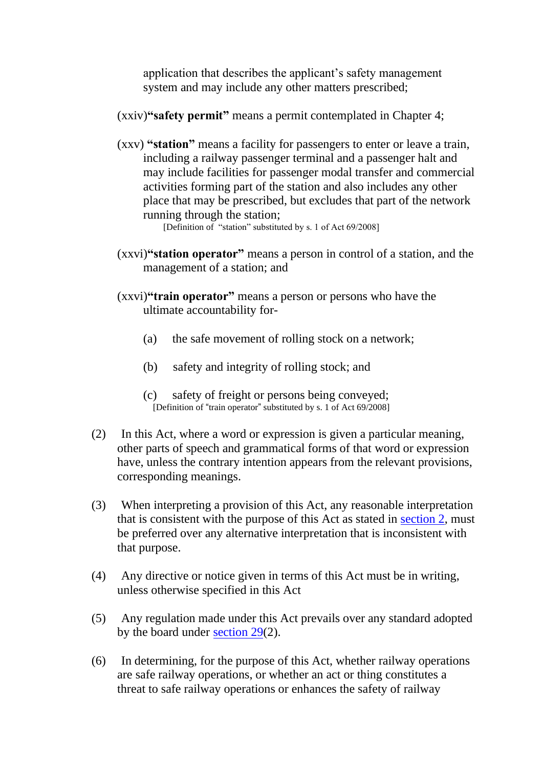application that describes the applicant's safety management system and may include any other matters prescribed;

#### (xxiv)**"safety permit"** means a permit contemplated in Chapter 4;

(xxv) **"station"** means a facility for passengers to enter or leave a train, including a railway passenger terminal and a passenger halt and may include facilities for passenger modal transfer and commercial activities forming part of the station and also includes any other place that may be prescribed, but excludes that part of the network running through the station;

[Definition of "station" substituted by s. 1 of Act 69/2008]

- (xxvi)**"station operator"** means a person in control of a station, and the management of a station; and
- (xxvi)**"train operator"** means a person or persons who have the ultimate accountability for-
	- (a) the safe movement of rolling stock on a network;
	- (b) safety and integrity of rolling stock; and
	- (c) safety of freight or persons being conveyed; [Definition of "train operator" substituted by s. 1 of Act 69/2008]
- (2) In this Act, where a word or expression is given a particular meaning, other parts of speech and grammatical forms of that word or expression have, unless the contrary intention appears from the relevant provisions, corresponding meanings.
- (3) When interpreting a provision of this Act, any reasonable interpretation that is consistent with the purpose of this Act as stated in [section 2,](https://olddiscover.sabinet.co.za/webx/access/netlaw/16_2002_national_railway_safety_regulator_act.htm#section2) must be preferred over any alternative interpretation that is inconsistent with that purpose.
- (4) Any directive or notice given in terms of this Act must be in writing, unless otherwise specified in this Act
- (5) Any regulation made under this Act prevails over any standard adopted by the board under [section 29\(](https://olddiscover.sabinet.co.za/webx/access/netlaw/16_2002_national_railway_safety_regulator_act.htm#section29)2).
- (6) In determining, for the purpose of this Act, whether railway operations are safe railway operations, or whether an act or thing constitutes a threat to safe railway operations or enhances the safety of railway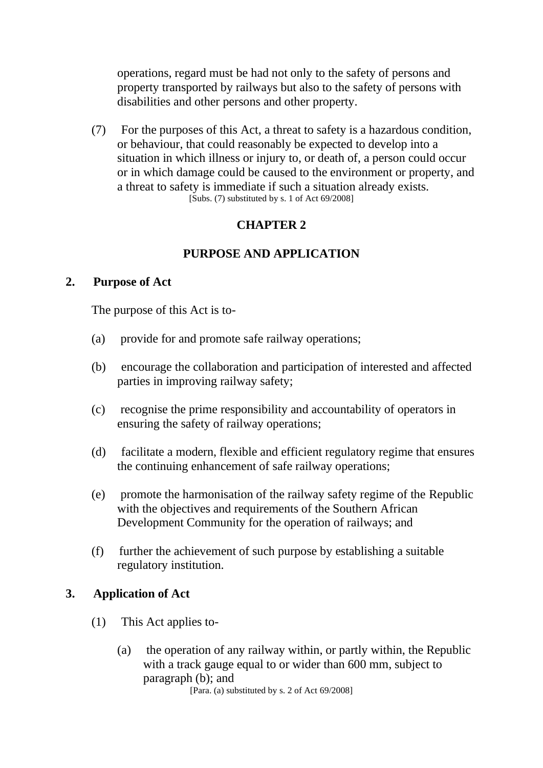operations, regard must be had not only to the safety of persons and property transported by railways but also to the safety of persons with disabilities and other persons and other property.

(7) For the purposes of this Act, a threat to safety is a hazardous condition, or behaviour, that could reasonably be expected to develop into a situation in which illness or injury to, or death of, a person could occur or in which damage could be caused to the environment or property, and a threat to safety is immediate if such a situation already exists. [Subs. (7) substituted by s. 1 of Act 69/2008]

## **CHAPTER 2**

## **PURPOSE AND APPLICATION**

### **2. Purpose of Act**

The purpose of this Act is to-

- (a) provide for and promote safe railway operations;
- (b) encourage the collaboration and participation of interested and affected parties in improving railway safety;
- (c) recognise the prime responsibility and accountability of operators in ensuring the safety of railway operations;
- (d) facilitate a modern, flexible and efficient regulatory regime that ensures the continuing enhancement of safe railway operations;
- (e) promote the harmonisation of the railway safety regime of the Republic with the objectives and requirements of the Southern African Development Community for the operation of railways; and
- (f) further the achievement of such purpose by establishing a suitable regulatory institution.

## **3. Application of Act**

- (1) This Act applies to-
	- (a) the operation of any railway within, or partly within, the Republic with a track gauge equal to or wider than 600 mm, subject to paragraph (b); and

[Para. (a) substituted by s. 2 of Act 69/2008]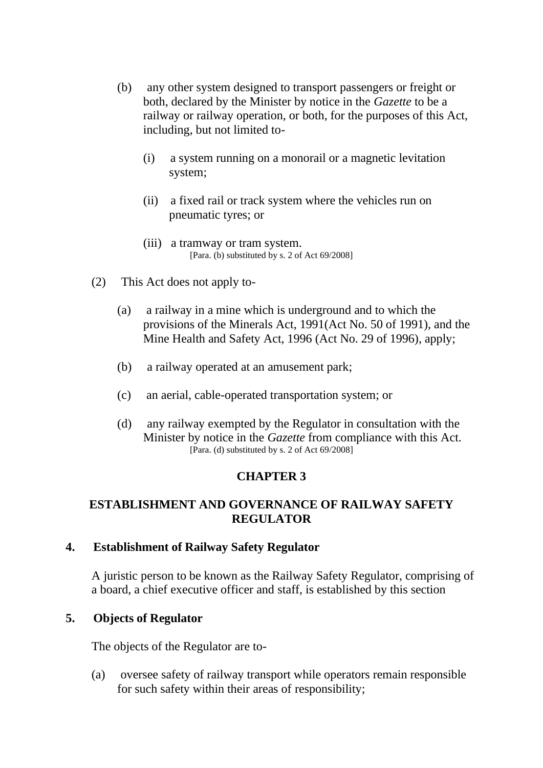- (b) any other system designed to transport passengers or freight or both, declared by the Minister by notice in the *Gazette* to be a railway or railway operation, or both, for the purposes of this Act, including, but not limited to-
	- (i) a system running on a monorail or a magnetic levitation system;
	- (ii) a fixed rail or track system where the vehicles run on pneumatic tyres; or
	- (iii) a tramway or tram system. [Para. (b) substituted by s. 2 of Act 69/2008]
- (2) This Act does not apply to-
	- (a) a railway in a mine which is underground and to which the provisions of the Minerals Act, 1991(Act No. 50 of 1991), and the Mine Health and Safety Act, 1996 (Act No. 29 of 1996), apply;
	- (b) a railway operated at an amusement park;
	- (c) an aerial, cable-operated transportation system; or
	- (d) any railway exempted by the Regulator in consultation with the Minister by notice in the *Gazette* from compliance with this Act. [Para. (d) substituted by s. 2 of Act 69/2008]

## **CHAPTER 3**

### **ESTABLISHMENT AND GOVERNANCE OF RAILWAY SAFETY REGULATOR**

### **4. Establishment of Railway Safety Regulator**

A juristic person to be known as the Railway Safety Regulator, comprising of a board, a chief executive officer and staff, is established by this section

## **5. Objects of Regulator**

The objects of the Regulator are to-

(a) oversee safety of railway transport while operators remain responsible for such safety within their areas of responsibility;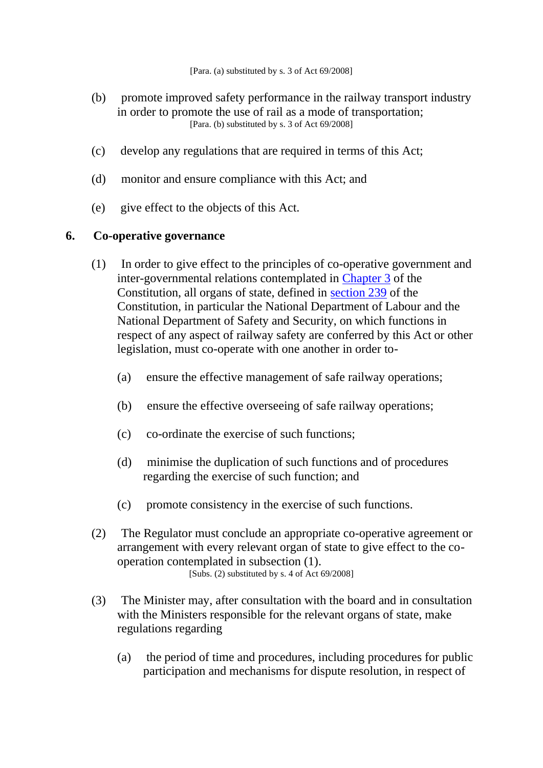- (b) promote improved safety performance in the railway transport industry in order to promote the use of rail as a mode of transportation; [Para. (b) substituted by s. 3 of Act 69/2008]
- (c) develop any regulations that are required in terms of this Act;
- (d) monitor and ensure compliance with this Act; and
- (e) give effect to the objects of this Act.

### **6. Co-operative governance**

- (1) In order to give effect to the principles of co-operative government and inter-governmental relations contemplated in [Chapter 3](https://discover.sabinet.co.za/webx/access/netlaw/108_1996_constitution_of_the_republic_of_south_africa_1996_act.htm#chapter3) of the Constitution, all organs of state, defined in [section 239](https://discover.sabinet.co.za/webx/access/netlaw/108_1996_constitution_of_the_republic_of_south_africa_1996_act.htm#section239) of the Constitution, in particular the National Department of Labour and the National Department of Safety and Security, on which functions in respect of any aspect of railway safety are conferred by this Act or other legislation, must co-operate with one another in order to-
	- (a) ensure the effective management of safe railway operations;
	- (b) ensure the effective overseeing of safe railway operations;
	- (c) co-ordinate the exercise of such functions;
	- (d) minimise the duplication of such functions and of procedures regarding the exercise of such function; and
	- (c) promote consistency in the exercise of such functions.
- (2) The Regulator must conclude an appropriate co-operative agreement or arrangement with every relevant organ of state to give effect to the cooperation contemplated in subsection (1). [Subs. (2) substituted by s. 4 of Act 69/2008]
- (3) The Minister may, after consultation with the board and in consultation with the Ministers responsible for the relevant organs of state, make regulations regarding
	- (a) the period of time and procedures, including procedures for public participation and mechanisms for dispute resolution, in respect of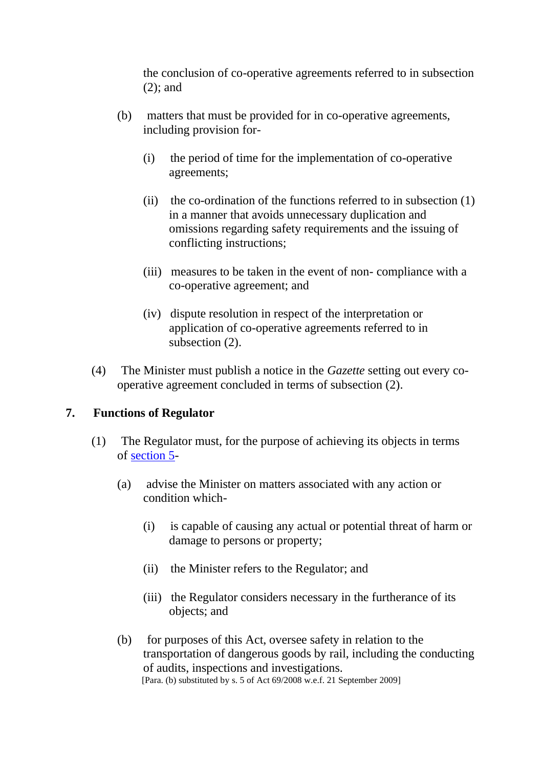the conclusion of co-operative agreements referred to in subsection (2); and

- (b) matters that must be provided for in co-operative agreements, including provision for-
	- (i) the period of time for the implementation of co-operative agreements;
	- (ii) the co-ordination of the functions referred to in subsection (1) in a manner that avoids unnecessary duplication and omissions regarding safety requirements and the issuing of conflicting instructions;
	- (iii) measures to be taken in the event of non- compliance with a co-operative agreement; and
	- (iv) dispute resolution in respect of the interpretation or application of co-operative agreements referred to in subsection (2).
- (4) The Minister must publish a notice in the *Gazette* setting out every cooperative agreement concluded in terms of subsection (2).

### **7. Functions of Regulator**

- (1) The Regulator must, for the purpose of achieving its objects in terms of [section 5-](https://olddiscover.sabinet.co.za/webx/access/netlaw/16_2002_national_railway_safety_regulator_act.htm#section5)
	- (a) advise the Minister on matters associated with any action or condition which-
		- (i) is capable of causing any actual or potential threat of harm or damage to persons or property;
		- (ii) the Minister refers to the Regulator; and
		- (iii) the Regulator considers necessary in the furtherance of its objects; and
	- (b) for purposes of this Act, oversee safety in relation to the transportation of dangerous goods by rail, including the conducting of audits, inspections and investigations. [Para. (b) substituted by s. 5 of Act 69/2008 w.e.f. 21 September 2009]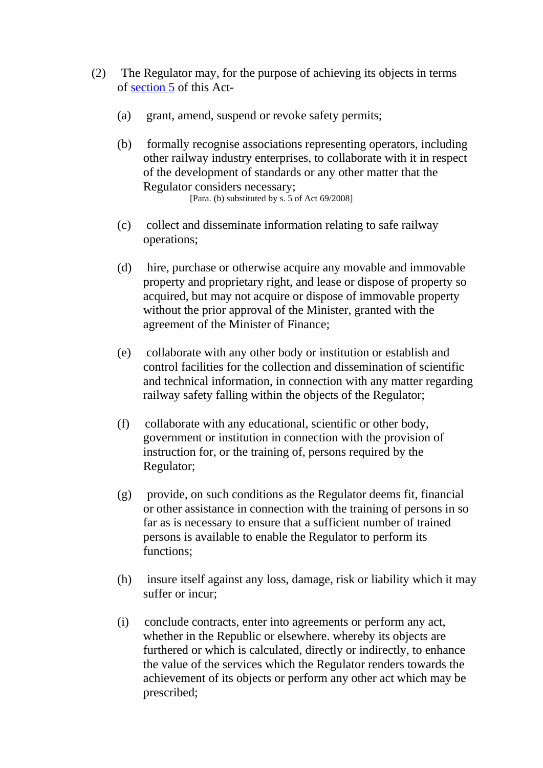- (2) The Regulator may, for the purpose of achieving its objects in terms of [section 5](https://olddiscover.sabinet.co.za/webx/access/netlaw/16_2002_national_railway_safety_regulator_act.htm#section5) of this Act-
	- (a) grant, amend, suspend or revoke safety permits;
	- (b) formally recognise associations representing operators, including other railway industry enterprises, to collaborate with it in respect of the development of standards or any other matter that the Regulator considers necessary; [Para. (b) substituted by s. 5 of Act 69/2008]
	- (c) collect and disseminate information relating to safe railway operations;
	- (d) hire, purchase or otherwise acquire any movable and immovable property and proprietary right, and lease or dispose of property so acquired, but may not acquire or dispose of immovable property without the prior approval of the Minister, granted with the agreement of the Minister of Finance;
	- (e) collaborate with any other body or institution or establish and control facilities for the collection and dissemination of scientific and technical information, in connection with any matter regarding railway safety falling within the objects of the Regulator;
	- (f) collaborate with any educational, scientific or other body, government or institution in connection with the provision of instruction for, or the training of, persons required by the Regulator;
	- (g) provide, on such conditions as the Regulator deems fit, financial or other assistance in connection with the training of persons in so far as is necessary to ensure that a sufficient number of trained persons is available to enable the Regulator to perform its functions;
	- (h) insure itself against any loss, damage, risk or liability which it may suffer or incur;
	- (i) conclude contracts, enter into agreements or perform any act, whether in the Republic or elsewhere. whereby its objects are furthered or which is calculated, directly or indirectly, to enhance the value of the services which the Regulator renders towards the achievement of its objects or perform any other act which may be prescribed;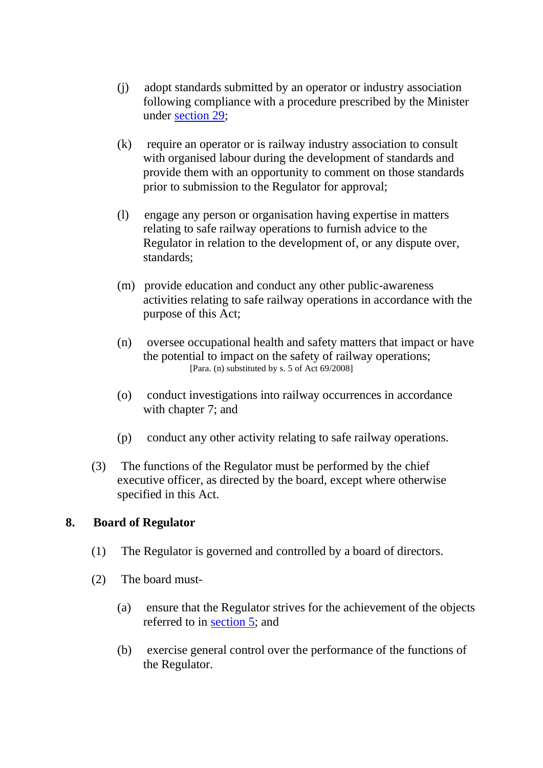- (j) adopt standards submitted by an operator or industry association following compliance with a procedure prescribed by the Minister under [section 29;](https://olddiscover.sabinet.co.za/webx/access/netlaw/16_2002_national_railway_safety_regulator_act.htm#section29)
- (k) require an operator or is railway industry association to consult with organised labour during the development of standards and provide them with an opportunity to comment on those standards prior to submission to the Regulator for approval;
- (l) engage any person or organisation having expertise in matters relating to safe railway operations to furnish advice to the Regulator in relation to the development of, or any dispute over, standards;
- (m) provide education and conduct any other public-awareness activities relating to safe railway operations in accordance with the purpose of this Act;
- (n) oversee occupational health and safety matters that impact or have the potential to impact on the safety of railway operations; [Para. (n) substituted by s. 5 of Act 69/2008]
- (o) conduct investigations into railway occurrences in accordance with chapter 7; and
- (p) conduct any other activity relating to safe railway operations.
- (3) The functions of the Regulator must be performed by the chief executive officer, as directed by the board, except where otherwise specified in this Act.

## **8. Board of Regulator**

- (1) The Regulator is governed and controlled by a board of directors.
- (2) The board must-
	- (a) ensure that the Regulator strives for the achievement of the objects referred to in [section 5;](https://olddiscover.sabinet.co.za/webx/access/netlaw/16_2002_national_railway_safety_regulator_act.htm#section5) and
	- (b) exercise general control over the performance of the functions of the Regulator.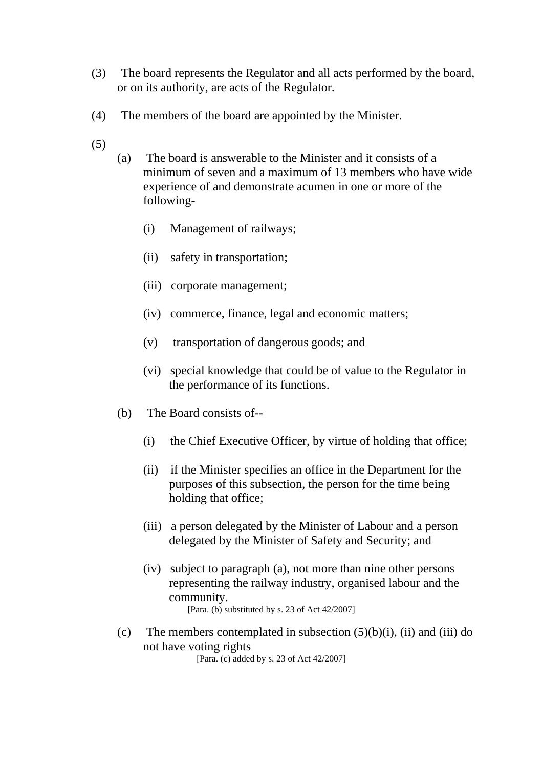- (3) The board represents the Regulator and all acts performed by the board, or on its authority, are acts of the Regulator.
- (4) The members of the board are appointed by the Minister.
- (5)
- (a) The board is answerable to the Minister and it consists of a minimum of seven and a maximum of 13 members who have wide experience of and demonstrate acumen in one or more of the following-
	- (i) Management of railways;
	- (ii) safety in transportation;
	- (iii) corporate management;
	- (iv) commerce, finance, legal and economic matters;
	- (v) transportation of dangerous goods; and
	- (vi) special knowledge that could be of value to the Regulator in the performance of its functions.
- (b) The Board consists of--
	- (i) the Chief Executive Officer, by virtue of holding that office;
	- (ii) if the Minister specifies an office in the Department for the purposes of this subsection, the person for the time being holding that office;
	- (iii) a person delegated by the Minister of Labour and a person delegated by the Minister of Safety and Security; and
	- (iv) subject to paragraph (a), not more than nine other persons representing the railway industry, organised labour and the community.

[Para. (b) substituted by s. 23 of Act 42/2007]

(c) The members contemplated in subsection  $(5)(b)(i)$ , (ii) and (iii) do not have voting rights

[Para. (c) added by s. 23 of Act 42/2007]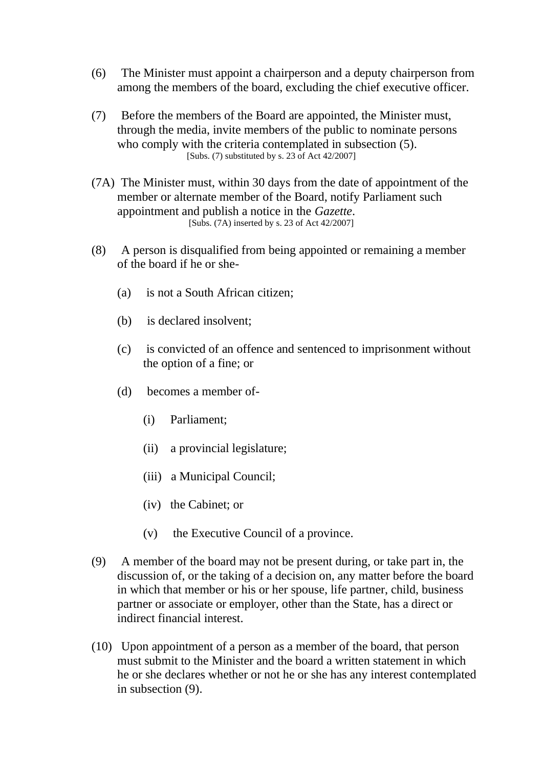- (6) The Minister must appoint a chairperson and a deputy chairperson from among the members of the board, excluding the chief executive officer.
- (7) Before the members of the Board are appointed, the Minister must, through the media, invite members of the public to nominate persons who comply with the criteria contemplated in subsection (5). [Subs. (7) substituted by s. 23 of Act  $42/2007$ ]
- (7A) The Minister must, within 30 days from the date of appointment of the member or alternate member of the Board, notify Parliament such appointment and publish a notice in the *Gazette*. [Subs. (7A) inserted by s. 23 of Act 42/2007]
- (8) A person is disqualified from being appointed or remaining a member of the board if he or she-
	- (a) is not a South African citizen;
	- (b) is declared insolvent;
	- (c) is convicted of an offence and sentenced to imprisonment without the option of a fine; or
	- (d) becomes a member of-
		- (i) Parliament;
		- (ii) a provincial legislature;
		- (iii) a Municipal Council;
		- (iv) the Cabinet; or
		- (v) the Executive Council of a province.
- (9) A member of the board may not be present during, or take part in, the discussion of, or the taking of a decision on, any matter before the board in which that member or his or her spouse, life partner, child, business partner or associate or employer, other than the State, has a direct or indirect financial interest.
- (10) Upon appointment of a person as a member of the board, that person must submit to the Minister and the board a written statement in which he or she declares whether or not he or she has any interest contemplated in subsection (9).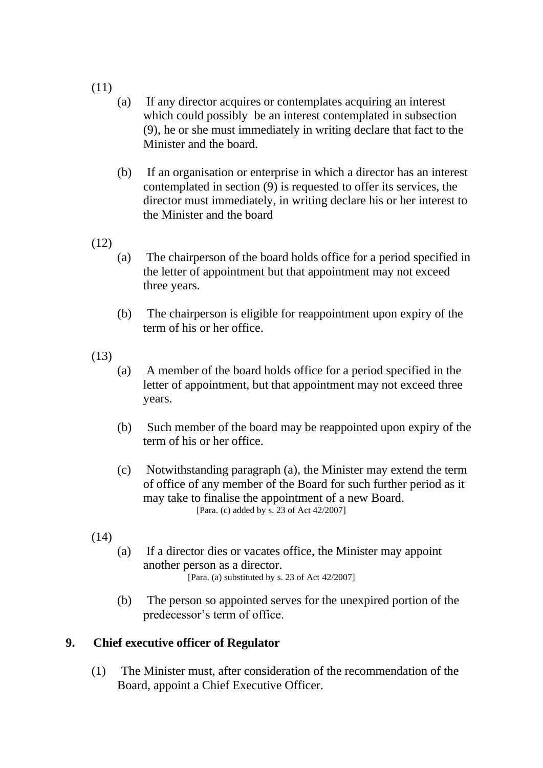- (11)
- (a) If any director acquires or contemplates acquiring an interest which could possibly be an interest contemplated in subsection (9), he or she must immediately in writing declare that fact to the Minister and the board.
- (b) If an organisation or enterprise in which a director has an interest contemplated in section (9) is requested to offer its services, the director must immediately, in writing declare his or her interest to the Minister and the board
- (12)
- (a) The chairperson of the board holds office for a period specified in the letter of appointment but that appointment may not exceed three years.
- (b) The chairperson is eligible for reappointment upon expiry of the term of his or her office.
- (13)
- (a) A member of the board holds office for a period specified in the letter of appointment, but that appointment may not exceed three years.
- (b) Such member of the board may be reappointed upon expiry of the term of his or her office.
- (c) Notwithstanding paragraph (a), the Minister may extend the term of office of any member of the Board for such further period as it may take to finalise the appointment of a new Board. [Para. (c) added by s. 23 of Act 42/2007]
- (14)
- (a) If a director dies or vacates office, the Minister may appoint another person as a director. [Para. (a) substituted by s. 23 of Act 42/2007]
- (b) The person so appointed serves for the unexpired portion of the predecessor's term of office.

### **9. Chief executive officer of Regulator**

(1) The Minister must, after consideration of the recommendation of the Board, appoint a Chief Executive Officer.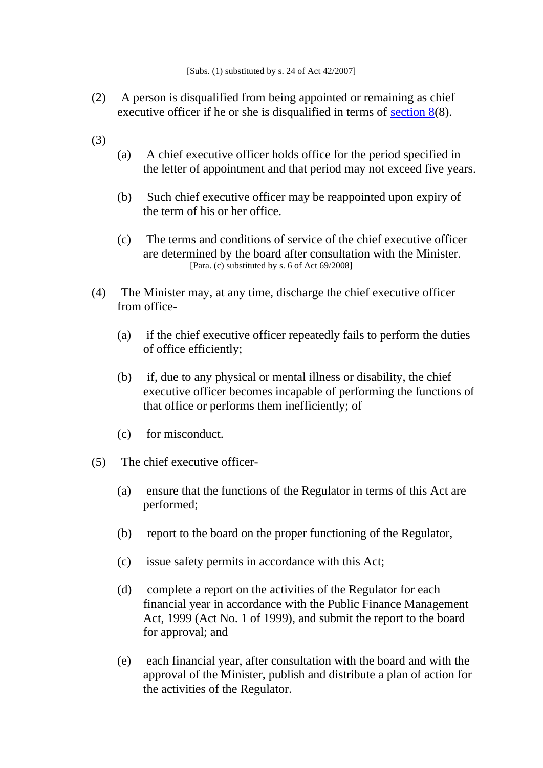- (2) A person is disqualified from being appointed or remaining as chief executive officer if he or she is disqualified in terms of <u>section  $8(8)$ </u>.
- (3)
- (a) A chief executive officer holds office for the period specified in the letter of appointment and that period may not exceed five years.
- (b) Such chief executive officer may be reappointed upon expiry of the term of his or her office.
- (c) The terms and conditions of service of the chief executive officer are determined by the board after consultation with the Minister. [Para. (c) substituted by s. 6 of Act 69/2008]
- (4) The Minister may, at any time, discharge the chief executive officer from office-
	- (a) if the chief executive officer repeatedly fails to perform the duties of office efficiently;
	- (b) if, due to any physical or mental illness or disability, the chief executive officer becomes incapable of performing the functions of that office or performs them inefficiently; of
	- (c) for misconduct.
- (5) The chief executive officer-
	- (a) ensure that the functions of the Regulator in terms of this Act are performed;
	- (b) report to the board on the proper functioning of the Regulator,
	- (c) issue safety permits in accordance with this Act;
	- (d) complete a report on the activities of the Regulator for each financial year in accordance with the Public Finance Management Act, 1999 (Act No. 1 of 1999), and submit the report to the board for approval; and
	- (e) each financial year, after consultation with the board and with the approval of the Minister, publish and distribute a plan of action for the activities of the Regulator.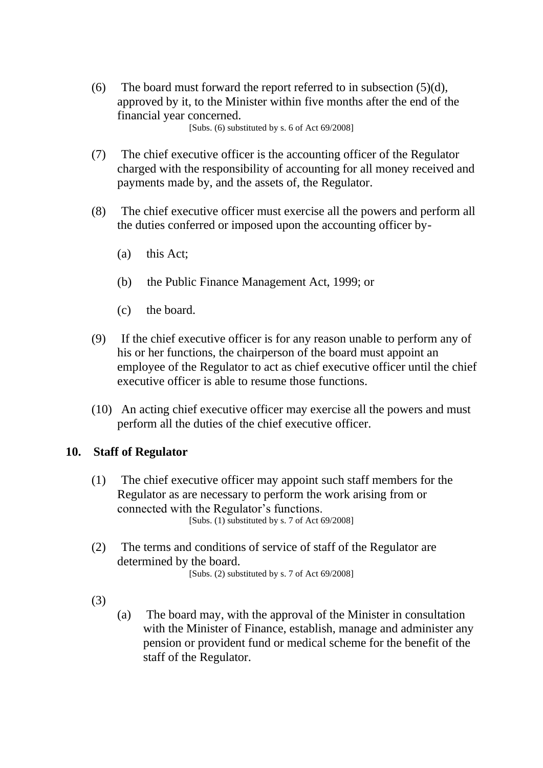(6) The board must forward the report referred to in subsection  $(5)(d)$ , approved by it, to the Minister within five months after the end of the financial year concerned.

[Subs. (6) substituted by s. 6 of Act 69/2008]

- (7) The chief executive officer is the accounting officer of the Regulator charged with the responsibility of accounting for all money received and payments made by, and the assets of, the Regulator.
- (8) The chief executive officer must exercise all the powers and perform all the duties conferred or imposed upon the accounting officer by-
	- (a) this Act;
	- (b) the Public Finance Management Act, 1999; or
	- (c) the board.
- (9) If the chief executive officer is for any reason unable to perform any of his or her functions, the chairperson of the board must appoint an employee of the Regulator to act as chief executive officer until the chief executive officer is able to resume those functions.
- (10) An acting chief executive officer may exercise all the powers and must perform all the duties of the chief executive officer.

#### **10. Staff of Regulator**

- (1) The chief executive officer may appoint such staff members for the Regulator as are necessary to perform the work arising from or connected with the Regulator's functions. [Subs. (1) substituted by s. 7 of Act 69/2008]
- (2) The terms and conditions of service of staff of the Regulator are determined by the board. [Subs. (2) substituted by s. 7 of Act 69/2008]
- (3)
- (a) The board may, with the approval of the Minister in consultation with the Minister of Finance, establish, manage and administer any pension or provident fund or medical scheme for the benefit of the staff of the Regulator.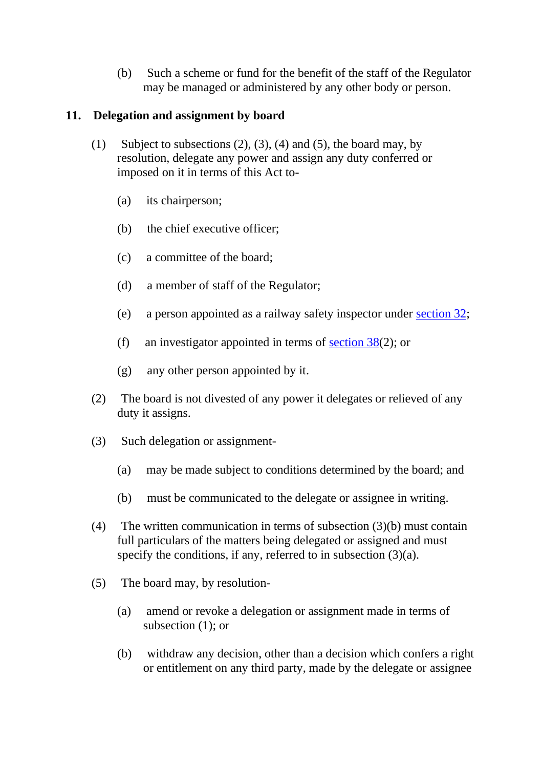(b) Such a scheme or fund for the benefit of the staff of the Regulator may be managed or administered by any other body or person.

## **11. Delegation and assignment by board**

- (1) Subject to subsections  $(2)$ ,  $(3)$ ,  $(4)$  and  $(5)$ , the board may, by resolution, delegate any power and assign any duty conferred or imposed on it in terms of this Act to-
	- (a) its chairperson;
	- (b) the chief executive officer;
	- (c) a committee of the board;
	- (d) a member of staff of the Regulator;
	- (e) a person appointed as a railway safety inspector under [section 32;](https://olddiscover.sabinet.co.za/webx/access/netlaw/16_2002_national_railway_safety_regulator_act.htm#section32)
	- (f) an investigator appointed in terms of [section 38\(](https://olddiscover.sabinet.co.za/webx/access/netlaw/16_2002_national_railway_safety_regulator_act.htm#section38)2); or
	- (g) any other person appointed by it.
- (2) The board is not divested of any power it delegates or relieved of any duty it assigns.
- (3) Such delegation or assignment-
	- (a) may be made subject to conditions determined by the board; and
	- (b) must be communicated to the delegate or assignee in writing.
- (4) The written communication in terms of subsection (3)(b) must contain full particulars of the matters being delegated or assigned and must specify the conditions, if any, referred to in subsection (3)(a).
- (5) The board may, by resolution-
	- (a) amend or revoke a delegation or assignment made in terms of subsection (1); or
	- (b) withdraw any decision, other than a decision which confers a right or entitlement on any third party, made by the delegate or assignee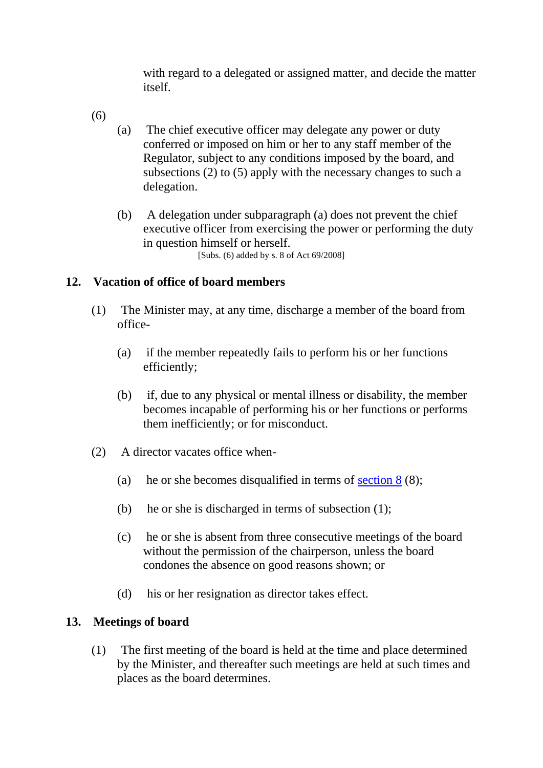with regard to a delegated or assigned matter, and decide the matter itself.

- (6)
- (a) The chief executive officer may delegate any power or duty conferred or imposed on him or her to any staff member of the Regulator, subject to any conditions imposed by the board, and subsections (2) to (5) apply with the necessary changes to such a delegation.
- (b) A delegation under subparagraph (a) does not prevent the chief executive officer from exercising the power or performing the duty in question himself or herself. [Subs. (6) added by s. 8 of Act 69/2008]

### **12. Vacation of office of board members**

- (1) The Minister may, at any time, discharge a member of the board from office-
	- (a) if the member repeatedly fails to perform his or her functions efficiently;
	- (b) if, due to any physical or mental illness or disability, the member becomes incapable of performing his or her functions or performs them inefficiently; or for misconduct.
- (2) A director vacates office when-
	- (a) he or she becomes disqualified in terms of section  $8(8)$ ;
	- (b) he or she is discharged in terms of subsection (1);
	- (c) he or she is absent from three consecutive meetings of the board without the permission of the chairperson, unless the board condones the absence on good reasons shown; or
	- (d) his or her resignation as director takes effect.

#### **13. Meetings of board**

(1) The first meeting of the board is held at the time and place determined by the Minister, and thereafter such meetings are held at such times and places as the board determines.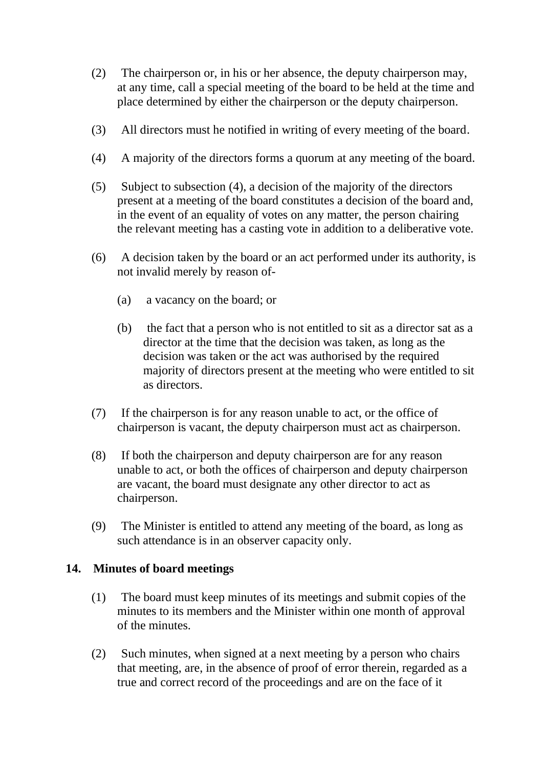- (2) The chairperson or, in his or her absence, the deputy chairperson may, at any time, call a special meeting of the board to be held at the time and place determined by either the chairperson or the deputy chairperson.
- (3) All directors must he notified in writing of every meeting of the board.
- (4) A majority of the directors forms a quorum at any meeting of the board.
- (5) Subject to subsection (4), a decision of the majority of the directors present at a meeting of the board constitutes a decision of the board and, in the event of an equality of votes on any matter, the person chairing the relevant meeting has a casting vote in addition to a deliberative vote.
- (6) A decision taken by the board or an act performed under its authority, is not invalid merely by reason of-
	- (a) a vacancy on the board; or
	- (b) the fact that a person who is not entitled to sit as a director sat as a director at the time that the decision was taken, as long as the decision was taken or the act was authorised by the required majority of directors present at the meeting who were entitled to sit as directors.
- (7) If the chairperson is for any reason unable to act, or the office of chairperson is vacant, the deputy chairperson must act as chairperson.
- (8) If both the chairperson and deputy chairperson are for any reason unable to act, or both the offices of chairperson and deputy chairperson are vacant, the board must designate any other director to act as chairperson.
- (9) The Minister is entitled to attend any meeting of the board, as long as such attendance is in an observer capacity only.

### **14. Minutes of board meetings**

- (1) The board must keep minutes of its meetings and submit copies of the minutes to its members and the Minister within one month of approval of the minutes.
- (2) Such minutes, when signed at a next meeting by a person who chairs that meeting, are, in the absence of proof of error therein, regarded as a true and correct record of the proceedings and are on the face of it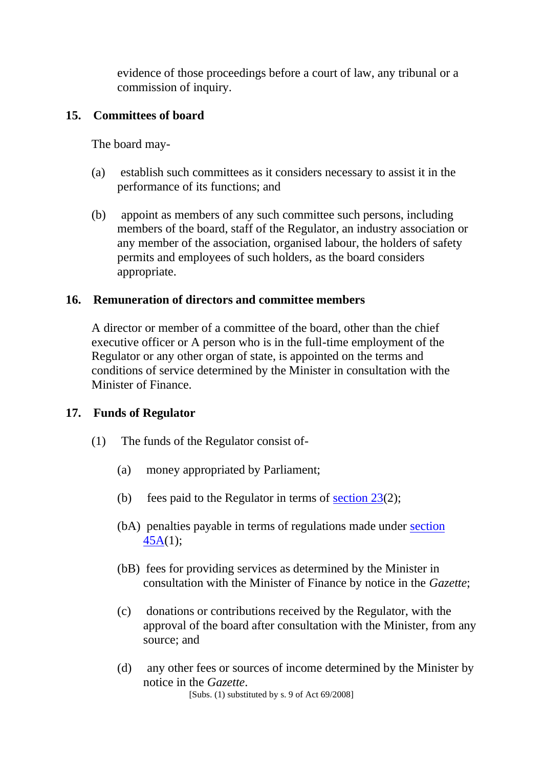evidence of those proceedings before a court of law, any tribunal or a commission of inquiry.

### **15. Committees of board**

The board may-

- (a) establish such committees as it considers necessary to assist it in the performance of its functions; and
- (b) appoint as members of any such committee such persons, including members of the board, staff of the Regulator, an industry association or any member of the association, organised labour, the holders of safety permits and employees of such holders, as the board considers appropriate.

### **16. Remuneration of directors and committee members**

A director or member of a committee of the board, other than the chief executive officer or A person who is in the full-time employment of the Regulator or any other organ of state, is appointed on the terms and conditions of service determined by the Minister in consultation with the Minister of Finance.

### **17. Funds of Regulator**

- (1) The funds of the Regulator consist of-
	- (a) money appropriated by Parliament;
	- (b) fees paid to the Regulator in terms of section  $23(2)$ ;
	- (bA) penalties payable in terms of regulations made under [section](https://olddiscover.sabinet.co.za/webx/access/netlaw/16_2002_national_railway_safety_regulator_act.htm#section45A)  [45A\(](https://olddiscover.sabinet.co.za/webx/access/netlaw/16_2002_national_railway_safety_regulator_act.htm#section45A)1);
	- (bB) fees for providing services as determined by the Minister in consultation with the Minister of Finance by notice in the *Gazette*;
	- (c) donations or contributions received by the Regulator, with the approval of the board after consultation with the Minister, from any source; and
	- (d) any other fees or sources of income determined by the Minister by notice in the *Gazette*. [Subs. (1) substituted by s. 9 of Act 69/2008]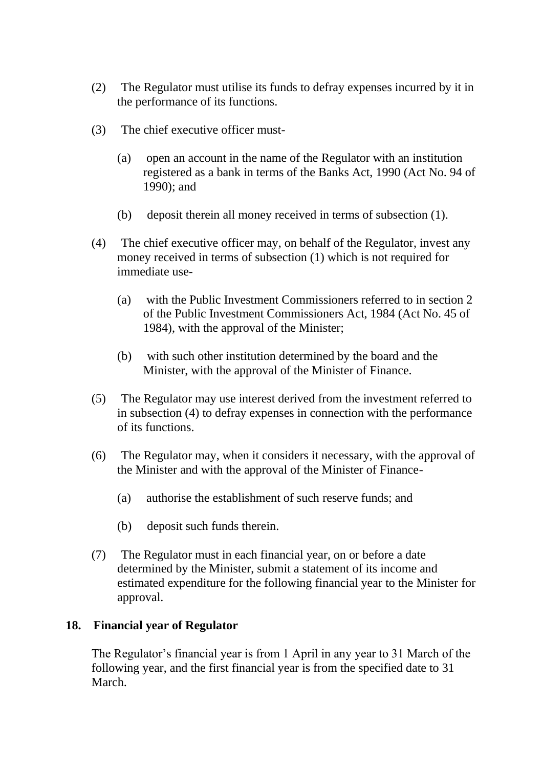- (2) The Regulator must utilise its funds to defray expenses incurred by it in the performance of its functions.
- (3) The chief executive officer must-
	- (a) open an account in the name of the Regulator with an institution registered as a bank in terms of the Banks Act, 1990 (Act No. 94 of 1990); and
	- (b) deposit therein all money received in terms of subsection (1).
- (4) The chief executive officer may, on behalf of the Regulator, invest any money received in terms of subsection (1) which is not required for immediate use-
	- (a) with the Public Investment Commissioners referred to in section 2 of the Public Investment Commissioners Act, 1984 (Act No. 45 of 1984), with the approval of the Minister;
	- (b) with such other institution determined by the board and the Minister, with the approval of the Minister of Finance.
- (5) The Regulator may use interest derived from the investment referred to in subsection (4) to defray expenses in connection with the performance of its functions.
- (6) The Regulator may, when it considers it necessary, with the approval of the Minister and with the approval of the Minister of Finance-
	- (a) authorise the establishment of such reserve funds; and
	- (b) deposit such funds therein.
- (7) The Regulator must in each financial year, on or before a date determined by the Minister, submit a statement of its income and estimated expenditure for the following financial year to the Minister for approval.

### **18. Financial year of Regulator**

The Regulator's financial year is from 1 April in any year to 31 March of the following year, and the first financial year is from the specified date to 31 March.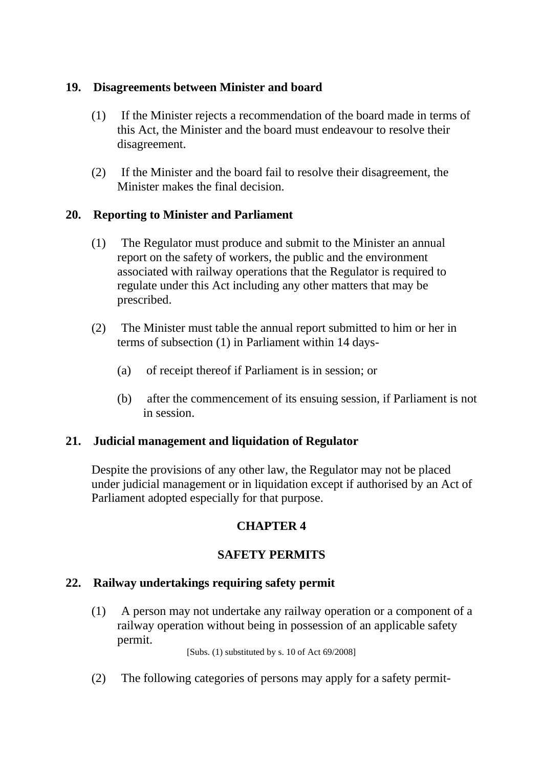## **19. Disagreements between Minister and board**

- (1) If the Minister rejects a recommendation of the board made in terms of this Act, the Minister and the board must endeavour to resolve their disagreement.
- (2) If the Minister and the board fail to resolve their disagreement, the Minister makes the final decision.

## **20. Reporting to Minister and Parliament**

- (1) The Regulator must produce and submit to the Minister an annual report on the safety of workers, the public and the environment associated with railway operations that the Regulator is required to regulate under this Act including any other matters that may be prescribed.
- (2) The Minister must table the annual report submitted to him or her in terms of subsection (1) in Parliament within 14 days-
	- (a) of receipt thereof if Parliament is in session; or
	- (b) after the commencement of its ensuing session, if Parliament is not in session.

### **21. Judicial management and liquidation of Regulator**

Despite the provisions of any other law, the Regulator may not be placed under judicial management or in liquidation except if authorised by an Act of Parliament adopted especially for that purpose.

## **CHAPTER 4**

## **SAFETY PERMITS**

### **22. Railway undertakings requiring safety permit**

(1) A person may not undertake any railway operation or a component of a railway operation without being in possession of an applicable safety permit.

[Subs. (1) substituted by s. 10 of Act 69/2008]

(2) The following categories of persons may apply for a safety permit-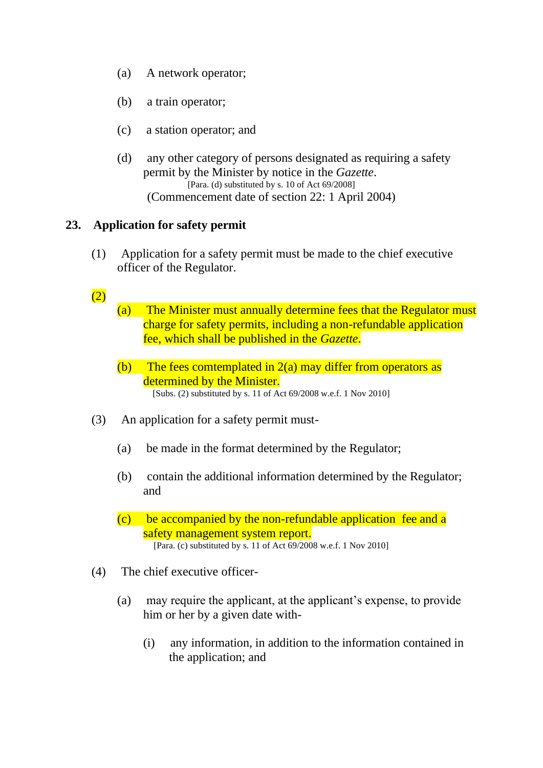- (a) A network operator;
- (b) a train operator;
- (c) a station operator; and
- (d) any other category of persons designated as requiring a safety permit by the Minister by notice in the *Gazette*. [Para. (d) substituted by s. 10 of Act 69/2008] (Commencement date of section 22: 1 April 2004)

#### **23. Application for safety permit**

(1) Application for a safety permit must be made to the chief executive officer of the Regulator.

#### $(2)$

(a) The Minister must annually determine fees that the Regulator must charge for safety permits, including a non-refundable application fee, which shall be published in the *Gazette*.

- (b) The fees comtemplated in  $2(a)$  may differ from operators as determined by the Minister. [Subs. (2) substituted by s. 11 of Act 69/2008 w.e.f. 1 Nov 2010]
- (3) An application for a safety permit must-
	- (a) be made in the format determined by the Regulator;
	- (b) contain the additional information determined by the Regulator; and
	- (c) be accompanied by the non-refundable application fee and a safety management system report. [Para. (c) substituted by s. 11 of Act 69/2008 w.e.f. 1 Nov 2010]
- (4) The chief executive officer-
	- (a) may require the applicant, at the applicant's expense, to provide him or her by a given date with-
		- (i) any information, in addition to the information contained in the application; and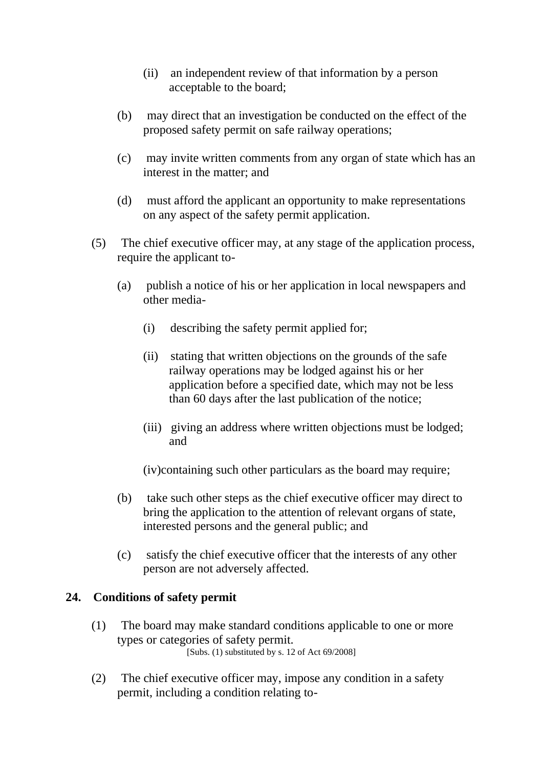- (ii) an independent review of that information by a person acceptable to the board;
- (b) may direct that an investigation be conducted on the effect of the proposed safety permit on safe railway operations;
- (c) may invite written comments from any organ of state which has an interest in the matter; and
- (d) must afford the applicant an opportunity to make representations on any aspect of the safety permit application.
- (5) The chief executive officer may, at any stage of the application process, require the applicant to-
	- (a) publish a notice of his or her application in local newspapers and other media-
		- (i) describing the safety permit applied for;
		- (ii) stating that written objections on the grounds of the safe railway operations may be lodged against his or her application before a specified date, which may not be less than 60 days after the last publication of the notice;
		- (iii) giving an address where written objections must be lodged; and

(iv)containing such other particulars as the board may require;

- (b) take such other steps as the chief executive officer may direct to bring the application to the attention of relevant organs of state, interested persons and the general public; and
- (c) satisfy the chief executive officer that the interests of any other person are not adversely affected.

## **24. Conditions of safety permit**

- (1) The board may make standard conditions applicable to one or more types or categories of safety permit. [Subs. (1) substituted by s. 12 of Act 69/2008]
- (2) The chief executive officer may, impose any condition in a safety permit, including a condition relating to-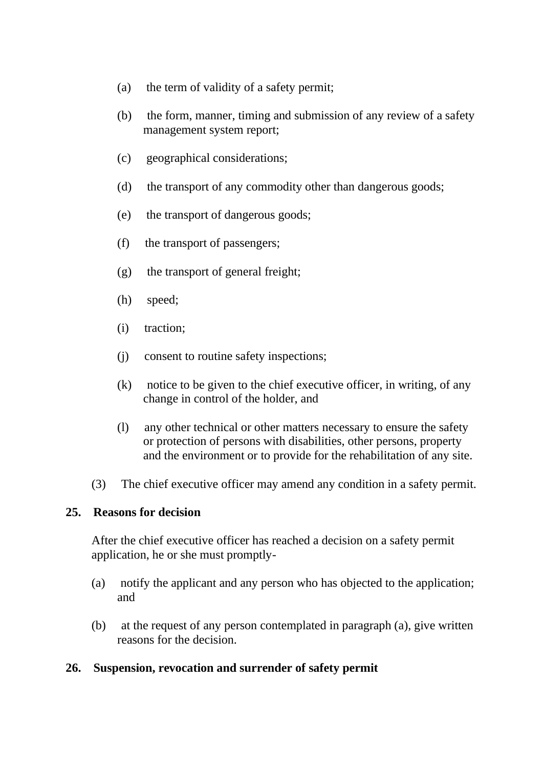- (a) the term of validity of a safety permit;
- (b) the form, manner, timing and submission of any review of a safety management system report;
- (c) geographical considerations;
- (d) the transport of any commodity other than dangerous goods;
- (e) the transport of dangerous goods;
- (f) the transport of passengers;
- (g) the transport of general freight;
- (h) speed;
- (i) traction;
- (j) consent to routine safety inspections;
- (k) notice to be given to the chief executive officer, in writing, of any change in control of the holder, and
- (l) any other technical or other matters necessary to ensure the safety or protection of persons with disabilities, other persons, property and the environment or to provide for the rehabilitation of any site.
- (3) The chief executive officer may amend any condition in a safety permit.

### **25. Reasons for decision**

After the chief executive officer has reached a decision on a safety permit application, he or she must promptly-

- (a) notify the applicant and any person who has objected to the application; and
- (b) at the request of any person contemplated in paragraph (a), give written reasons for the decision.

### **26. Suspension, revocation and surrender of safety permit**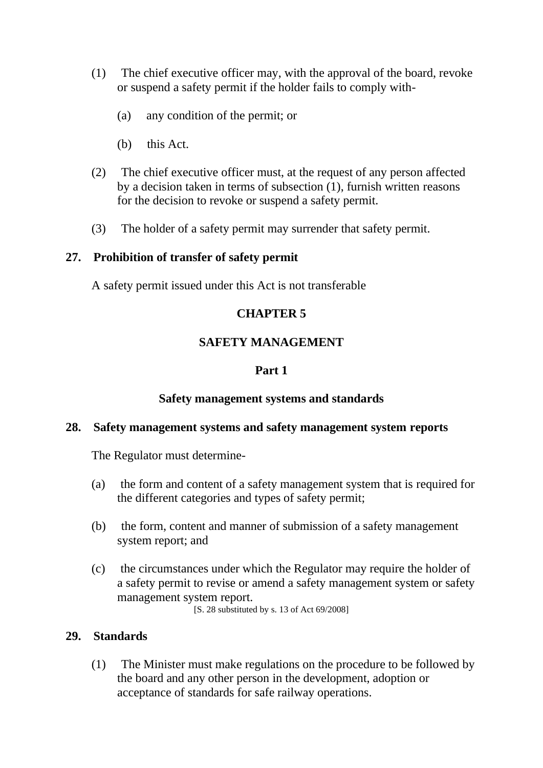- (1) The chief executive officer may, with the approval of the board, revoke or suspend a safety permit if the holder fails to comply with-
	- (a) any condition of the permit; or
	- (b) this Act.
- (2) The chief executive officer must, at the request of any person affected by a decision taken in terms of subsection (1), furnish written reasons for the decision to revoke or suspend a safety permit.
- (3) The holder of a safety permit may surrender that safety permit.

#### **27. Prohibition of transfer of safety permit**

A safety permit issued under this Act is not transferable

### **CHAPTER 5**

### **SAFETY MANAGEMENT**

### **Part 1**

### **Safety management systems and standards**

#### **28. Safety management systems and safety management system reports**

The Regulator must determine-

- (a) the form and content of a safety management system that is required for the different categories and types of safety permit;
- (b) the form, content and manner of submission of a safety management system report; and
- (c) the circumstances under which the Regulator may require the holder of a safety permit to revise or amend a safety management system or safety management system report.

[S. 28 substituted by s. 13 of Act 69/2008]

### **29. Standards**

(1) The Minister must make regulations on the procedure to be followed by the board and any other person in the development, adoption or acceptance of standards for safe railway operations.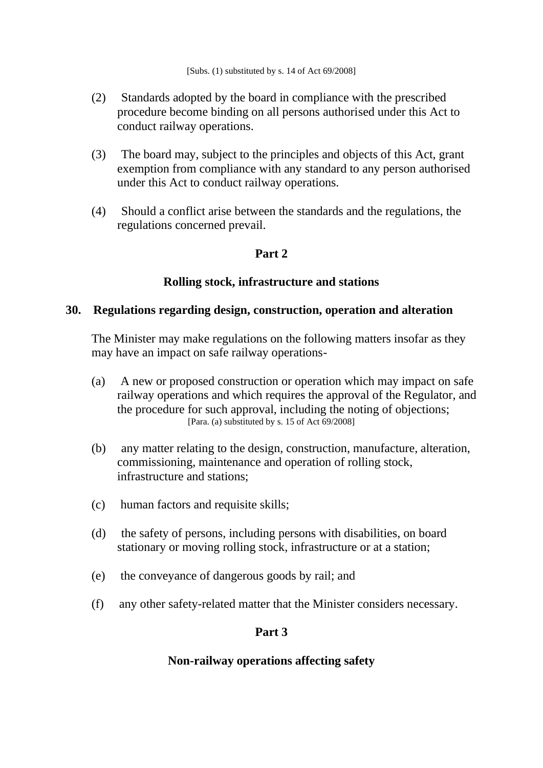- (2) Standards adopted by the board in compliance with the prescribed procedure become binding on all persons authorised under this Act to conduct railway operations.
- (3) The board may, subject to the principles and objects of this Act, grant exemption from compliance with any standard to any person authorised under this Act to conduct railway operations.
- (4) Should a conflict arise between the standards and the regulations, the regulations concerned prevail.

### **Part 2**

#### **Rolling stock, infrastructure and stations**

#### **30. Regulations regarding design, construction, operation and alteration**

The Minister may make regulations on the following matters insofar as they may have an impact on safe railway operations-

- (a) A new or proposed construction or operation which may impact on safe railway operations and which requires the approval of the Regulator, and the procedure for such approval, including the noting of objections; [Para. (a) substituted by s. 15 of Act 69/2008]
- (b) any matter relating to the design, construction, manufacture, alteration, commissioning, maintenance and operation of rolling stock, infrastructure and stations;
- (c) human factors and requisite skills;
- (d) the safety of persons, including persons with disabilities, on board stationary or moving rolling stock, infrastructure or at a station;
- (e) the conveyance of dangerous goods by rail; and
- (f) any other safety-related matter that the Minister considers necessary.

#### **Part 3**

#### **Non-railway operations affecting safety**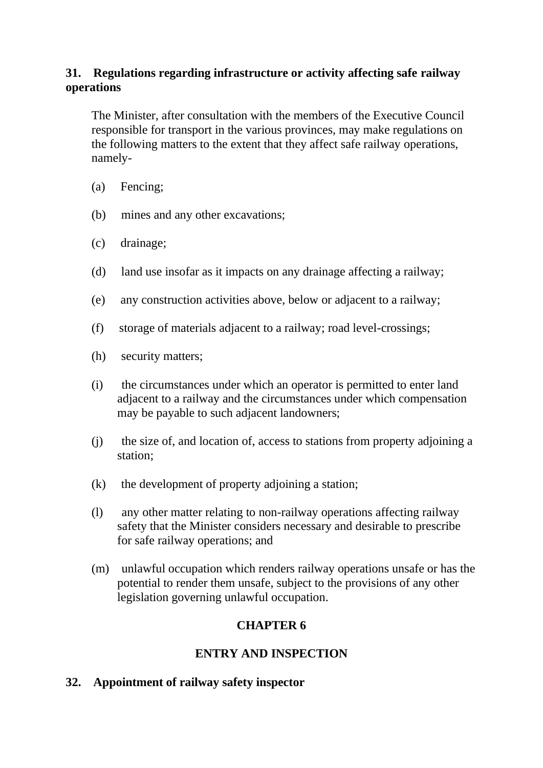## **31. Regulations regarding infrastructure or activity affecting safe railway operations**

The Minister, after consultation with the members of the Executive Council responsible for transport in the various provinces, may make regulations on the following matters to the extent that they affect safe railway operations, namely-

- (a) Fencing;
- (b) mines and any other excavations;
- (c) drainage;
- (d) land use insofar as it impacts on any drainage affecting a railway;
- (e) any construction activities above, below or adjacent to a railway;
- (f) storage of materials adjacent to a railway; road level-crossings;
- (h) security matters;
- (i) the circumstances under which an operator is permitted to enter land adjacent to a railway and the circumstances under which compensation may be payable to such adjacent landowners;
- (j) the size of, and location of, access to stations from property adjoining a station;
- (k) the development of property adjoining a station;
- (l) any other matter relating to non-railway operations affecting railway safety that the Minister considers necessary and desirable to prescribe for safe railway operations; and
- (m) unlawful occupation which renders railway operations unsafe or has the potential to render them unsafe, subject to the provisions of any other legislation governing unlawful occupation.

## **CHAPTER 6**

## **ENTRY AND INSPECTION**

## **32. Appointment of railway safety inspector**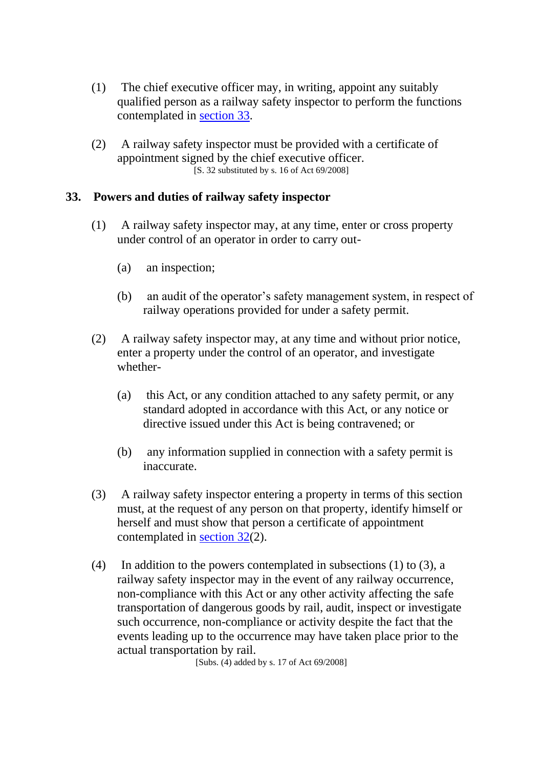- (1) The chief executive officer may, in writing, appoint any suitably qualified person as a railway safety inspector to perform the functions contemplated in [section 33.](https://olddiscover.sabinet.co.za/webx/access/netlaw/16_2002_national_railway_safety_regulator_act.htm#section33)
- (2) A railway safety inspector must be provided with a certificate of appointment signed by the chief executive officer.  $[S. 32$  substituted by s. 16 of Act 69/2008]

### **33. Powers and duties of railway safety inspector**

- (1) A railway safety inspector may, at any time, enter or cross property under control of an operator in order to carry out-
	- (a) an inspection;
	- (b) an audit of the operator's safety management system, in respect of railway operations provided for under a safety permit.
- (2) A railway safety inspector may, at any time and without prior notice, enter a property under the control of an operator, and investigate whether-
	- (a) this Act, or any condition attached to any safety permit, or any standard adopted in accordance with this Act, or any notice or directive issued under this Act is being contravened; or
	- (b) any information supplied in connection with a safety permit is inaccurate.
- (3) A railway safety inspector entering a property in terms of this section must, at the request of any person on that property, identify himself or herself and must show that person a certificate of appointment contemplated in [section 32\(](https://olddiscover.sabinet.co.za/webx/access/netlaw/16_2002_national_railway_safety_regulator_act.htm#section32)2).
- (4) In addition to the powers contemplated in subsections (1) to (3), a railway safety inspector may in the event of any railway occurrence, non-compliance with this Act or any other activity affecting the safe transportation of dangerous goods by rail, audit, inspect or investigate such occurrence, non-compliance or activity despite the fact that the events leading up to the occurrence may have taken place prior to the actual transportation by rail.

[Subs. (4) added by s. 17 of Act 69/2008]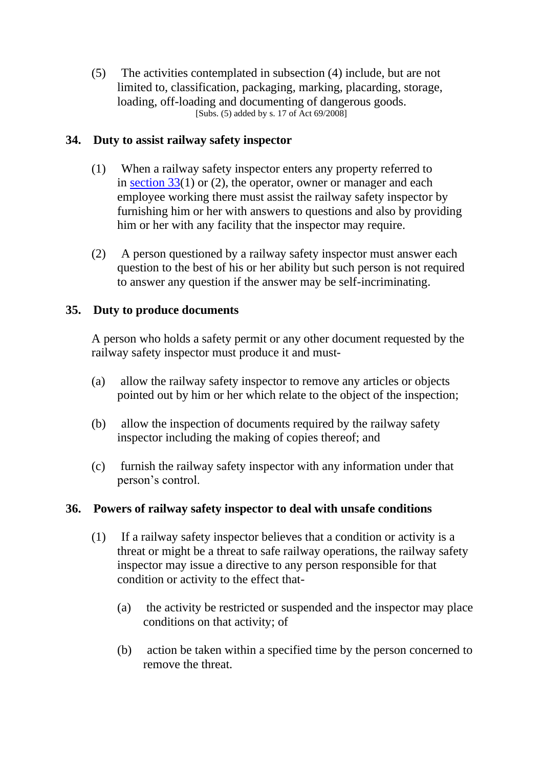(5) The activities contemplated in subsection (4) include, but are not limited to, classification, packaging, marking, placarding, storage, loading, off-loading and documenting of dangerous goods. [Subs. (5) added by s. 17 of Act 69/2008]

### **34. Duty to assist railway safety inspector**

- (1) When a railway safety inspector enters any property referred to in [section 33\(](https://olddiscover.sabinet.co.za/webx/access/netlaw/16_2002_national_railway_safety_regulator_act.htm#section33)1) or (2), the operator, owner or manager and each employee working there must assist the railway safety inspector by furnishing him or her with answers to questions and also by providing him or her with any facility that the inspector may require.
- (2) A person questioned by a railway safety inspector must answer each question to the best of his or her ability but such person is not required to answer any question if the answer may be self-incriminating.

## **35. Duty to produce documents**

A person who holds a safety permit or any other document requested by the railway safety inspector must produce it and must-

- (a) allow the railway safety inspector to remove any articles or objects pointed out by him or her which relate to the object of the inspection;
- (b) allow the inspection of documents required by the railway safety inspector including the making of copies thereof; and
- (c) furnish the railway safety inspector with any information under that person's control.

### **36. Powers of railway safety inspector to deal with unsafe conditions**

- (1) If a railway safety inspector believes that a condition or activity is a threat or might be a threat to safe railway operations, the railway safety inspector may issue a directive to any person responsible for that condition or activity to the effect that-
	- (a) the activity be restricted or suspended and the inspector may place conditions on that activity; of
	- (b) action be taken within a specified time by the person concerned to remove the threat.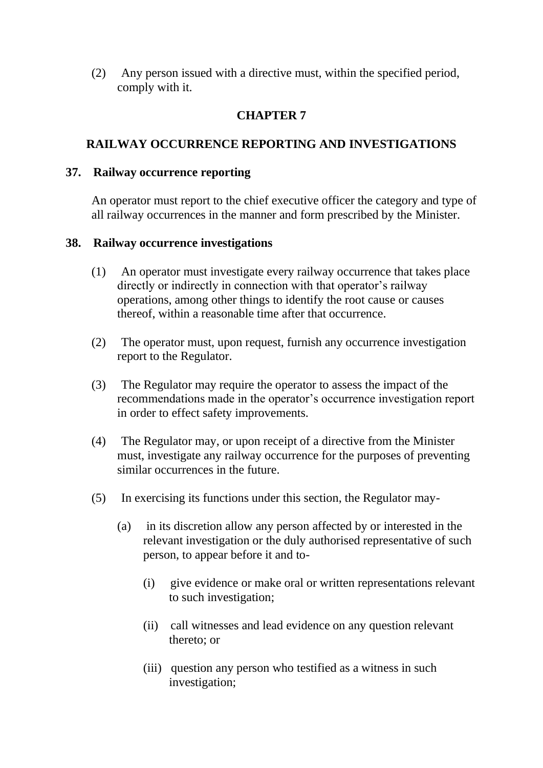(2) Any person issued with a directive must, within the specified period, comply with it.

## **CHAPTER 7**

## **RAILWAY OCCURRENCE REPORTING AND INVESTIGATIONS**

### **37. Railway occurrence reporting**

An operator must report to the chief executive officer the category and type of all railway occurrences in the manner and form prescribed by the Minister.

### **38. Railway occurrence investigations**

- (1) An operator must investigate every railway occurrence that takes place directly or indirectly in connection with that operator's railway operations, among other things to identify the root cause or causes thereof, within a reasonable time after that occurrence.
- (2) The operator must, upon request, furnish any occurrence investigation report to the Regulator.
- (3) The Regulator may require the operator to assess the impact of the recommendations made in the operator's occurrence investigation report in order to effect safety improvements.
- (4) The Regulator may, or upon receipt of a directive from the Minister must, investigate any railway occurrence for the purposes of preventing similar occurrences in the future.
- (5) In exercising its functions under this section, the Regulator may-
	- (a) in its discretion allow any person affected by or interested in the relevant investigation or the duly authorised representative of such person, to appear before it and to-
		- (i) give evidence or make oral or written representations relevant to such investigation;
		- (ii) call witnesses and lead evidence on any question relevant thereto; or
		- (iii) question any person who testified as a witness in such investigation;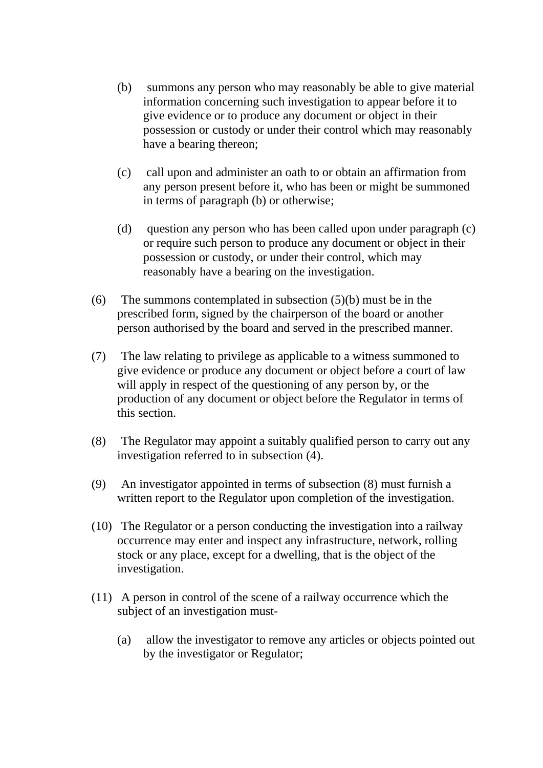- (b) summons any person who may reasonably be able to give material information concerning such investigation to appear before it to give evidence or to produce any document or object in their possession or custody or under their control which may reasonably have a bearing thereon;
- (c) call upon and administer an oath to or obtain an affirmation from any person present before it, who has been or might be summoned in terms of paragraph (b) or otherwise;
- (d) question any person who has been called upon under paragraph (c) or require such person to produce any document or object in their possession or custody, or under their control, which may reasonably have a bearing on the investigation.
- (6) The summons contemplated in subsection (5)(b) must be in the prescribed form, signed by the chairperson of the board or another person authorised by the board and served in the prescribed manner.
- (7) The law relating to privilege as applicable to a witness summoned to give evidence or produce any document or object before a court of law will apply in respect of the questioning of any person by, or the production of any document or object before the Regulator in terms of this section.
- (8) The Regulator may appoint a suitably qualified person to carry out any investigation referred to in subsection (4).
- (9) An investigator appointed in terms of subsection (8) must furnish a written report to the Regulator upon completion of the investigation.
- (10) The Regulator or a person conducting the investigation into a railway occurrence may enter and inspect any infrastructure, network, rolling stock or any place, except for a dwelling, that is the object of the investigation.
- (11) A person in control of the scene of a railway occurrence which the subject of an investigation must-
	- (a) allow the investigator to remove any articles or objects pointed out by the investigator or Regulator;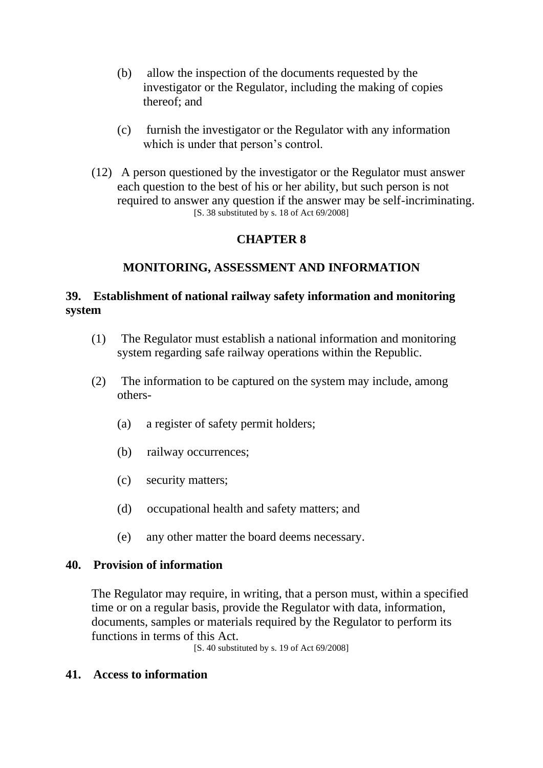- (b) allow the inspection of the documents requested by the investigator or the Regulator, including the making of copies thereof; and
- (c) furnish the investigator or the Regulator with any information which is under that person's control.
- (12) A person questioned by the investigator or the Regulator must answer each question to the best of his or her ability, but such person is not required to answer any question if the answer may be self-incriminating. [S. 38 substituted by s. 18 of Act 69/2008]

## **CHAPTER 8**

### **MONITORING, ASSESSMENT AND INFORMATION**

## **39. Establishment of national railway safety information and monitoring system**

- (1) The Regulator must establish a national information and monitoring system regarding safe railway operations within the Republic.
- (2) The information to be captured on the system may include, among others-
	- (a) a register of safety permit holders;
	- (b) railway occurrences;
	- (c) security matters;
	- (d) occupational health and safety matters; and
	- (e) any other matter the board deems necessary.

### **40. Provision of information**

The Regulator may require, in writing, that a person must, within a specified time or on a regular basis, provide the Regulator with data, information, documents, samples or materials required by the Regulator to perform its functions in terms of this Act.

[S. 40 substituted by s. 19 of Act 69/2008]

### **41. Access to information**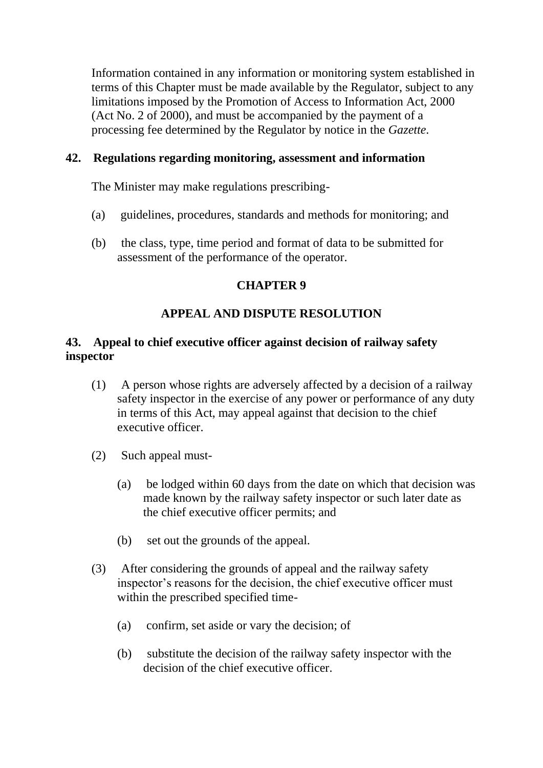Information contained in any information or monitoring system established in terms of this Chapter must be made available by the Regulator, subject to any limitations imposed by the Promotion of Access to Information Act, 2000 (Act No. 2 of 2000), and must be accompanied by the payment of a processing fee determined by the Regulator by notice in the *Gazette*.

### **42. Regulations regarding monitoring, assessment and information**

The Minister may make regulations prescribing-

- (a) guidelines, procedures, standards and methods for monitoring; and
- (b) the class, type, time period and format of data to be submitted for assessment of the performance of the operator.

### **CHAPTER 9**

## **APPEAL AND DISPUTE RESOLUTION**

## **43. Appeal to chief executive officer against decision of railway safety inspector**

- (1) A person whose rights are adversely affected by a decision of a railway safety inspector in the exercise of any power or performance of any duty in terms of this Act, may appeal against that decision to the chief executive officer.
- (2) Such appeal must-
	- (a) be lodged within 60 days from the date on which that decision was made known by the railway safety inspector or such later date as the chief executive officer permits; and
	- (b) set out the grounds of the appeal.
- (3) After considering the grounds of appeal and the railway safety inspector's reasons for the decision, the chief executive officer must within the prescribed specified time-
	- (a) confirm, set aside or vary the decision; of
	- (b) substitute the decision of the railway safety inspector with the decision of the chief executive officer.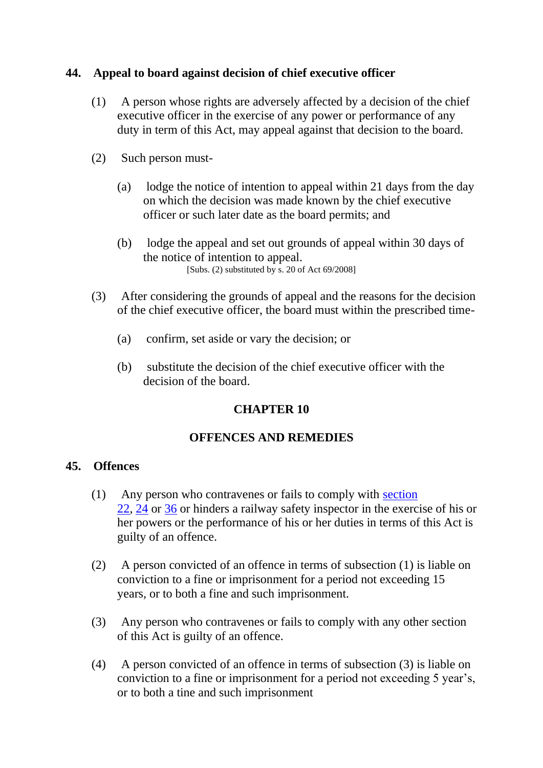### **44. Appeal to board against decision of chief executive officer**

- (1) A person whose rights are adversely affected by a decision of the chief executive officer in the exercise of any power or performance of any duty in term of this Act, may appeal against that decision to the board.
- (2) Such person must-
	- (a) lodge the notice of intention to appeal within 21 days from the day on which the decision was made known by the chief executive officer or such later date as the board permits; and
	- (b) lodge the appeal and set out grounds of appeal within 30 days of the notice of intention to appeal. [Subs. (2) substituted by s. 20 of Act 69/2008]
- (3) After considering the grounds of appeal and the reasons for the decision of the chief executive officer, the board must within the prescribed time-
	- (a) confirm, set aside or vary the decision; or
	- (b) substitute the decision of the chief executive officer with the decision of the board.

### **CHAPTER 10**

### **OFFENCES AND REMEDIES**

### **45. Offences**

- (1) Any person who contravenes or fails to comply with [section](https://olddiscover.sabinet.co.za/webx/access/netlaw/16_2002_national_railway_safety_regulator_act.htm#section22)  [22,](https://olddiscover.sabinet.co.za/webx/access/netlaw/16_2002_national_railway_safety_regulator_act.htm#section22) [24](https://olddiscover.sabinet.co.za/webx/access/netlaw/16_2002_national_railway_safety_regulator_act.htm#section24) or [36](https://olddiscover.sabinet.co.za/webx/access/netlaw/16_2002_national_railway_safety_regulator_act.htm#section36) or hinders a railway safety inspector in the exercise of his or her powers or the performance of his or her duties in terms of this Act is guilty of an offence.
- (2) A person convicted of an offence in terms of subsection (1) is liable on conviction to a fine or imprisonment for a period not exceeding 15 years, or to both a fine and such imprisonment.
- (3) Any person who contravenes or fails to comply with any other section of this Act is guilty of an offence.
- (4) A person convicted of an offence in terms of subsection (3) is liable on conviction to a fine or imprisonment for a period not exceeding 5 year's, or to both a tine and such imprisonment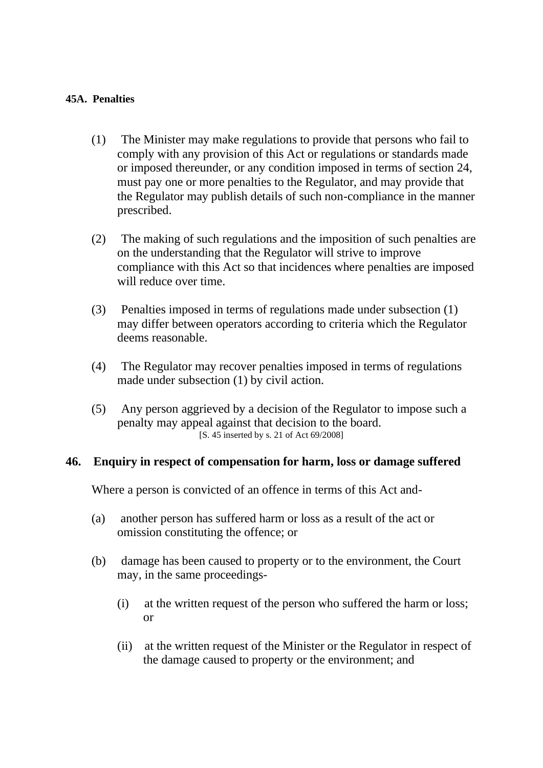#### **45A. Penalties**

- (1) The Minister may make regulations to provide that persons who fail to comply with any provision of this Act or regulations or standards made or imposed thereunder, or any condition imposed in terms of section 24, must pay one or more penalties to the Regulator, and may provide that the Regulator may publish details of such non-compliance in the manner prescribed.
- (2) The making of such regulations and the imposition of such penalties are on the understanding that the Regulator will strive to improve compliance with this Act so that incidences where penalties are imposed will reduce over time.
- (3) Penalties imposed in terms of regulations made under subsection (1) may differ between operators according to criteria which the Regulator deems reasonable.
- (4) The Regulator may recover penalties imposed in terms of regulations made under subsection (1) by civil action.
- (5) Any person aggrieved by a decision of the Regulator to impose such a penalty may appeal against that decision to the board. [S. 45 inserted by s. 21 of Act 69/2008]

### **46. Enquiry in respect of compensation for harm, loss or damage suffered**

Where a person is convicted of an offence in terms of this Act and-

- (a) another person has suffered harm or loss as a result of the act or omission constituting the offence; or
- (b) damage has been caused to property or to the environment, the Court may, in the same proceedings-
	- (i) at the written request of the person who suffered the harm or loss; or
	- (ii) at the written request of the Minister or the Regulator in respect of the damage caused to property or the environment; and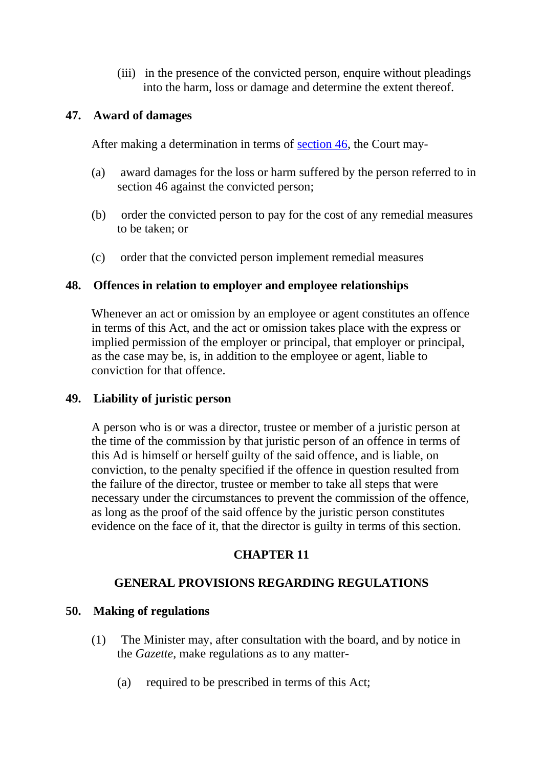(iii) in the presence of the convicted person, enquire without pleadings into the harm, loss or damage and determine the extent thereof.

### **47. Award of damages**

After making a determination in terms of [section 46,](https://olddiscover.sabinet.co.za/webx/access/netlaw/16_2002_national_railway_safety_regulator_act.htm#section46) the Court may-

- (a) award damages for the loss or harm suffered by the person referred to in section 46 against the convicted person;
- (b) order the convicted person to pay for the cost of any remedial measures to be taken; or
- (c) order that the convicted person implement remedial measures

### **48. Offences in relation to employer and employee relationships**

Whenever an act or omission by an employee or agent constitutes an offence in terms of this Act, and the act or omission takes place with the express or implied permission of the employer or principal, that employer or principal, as the case may be, is, in addition to the employee or agent, liable to conviction for that offence.

### **49. Liability of juristic person**

A person who is or was a director, trustee or member of a juristic person at the time of the commission by that juristic person of an offence in terms of this Ad is himself or herself guilty of the said offence, and is liable, on conviction, to the penalty specified if the offence in question resulted from the failure of the director, trustee or member to take all steps that were necessary under the circumstances to prevent the commission of the offence, as long as the proof of the said offence by the juristic person constitutes evidence on the face of it, that the director is guilty in terms of this section.

## **CHAPTER 11**

## **GENERAL PROVISIONS REGARDING REGULATIONS**

## **50. Making of regulations**

- (1) The Minister may, after consultation with the board, and by notice in the *Gazette*, make regulations as to any matter-
	- (a) required to be prescribed in terms of this Act;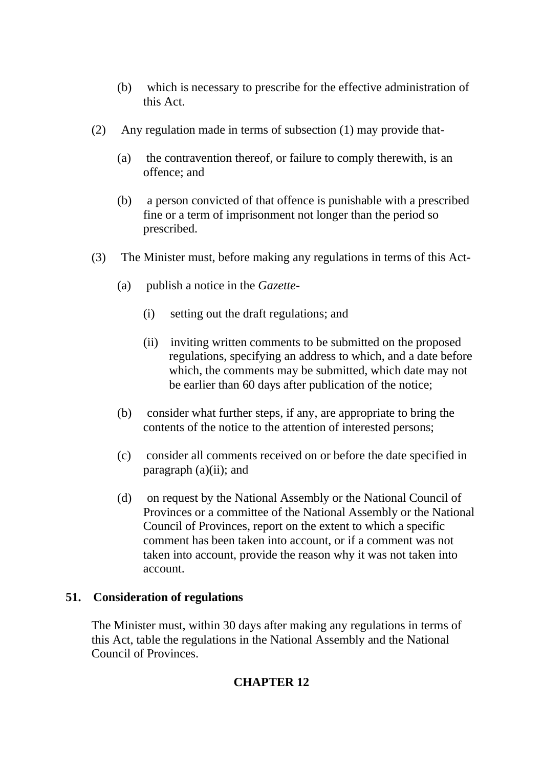- (b) which is necessary to prescribe for the effective administration of this Act.
- (2) Any regulation made in terms of subsection (1) may provide that-
	- (a) the contravention thereof, or failure to comply therewith, is an offence; and
	- (b) a person convicted of that offence is punishable with a prescribed fine or a term of imprisonment not longer than the period so prescribed.
- (3) The Minister must, before making any regulations in terms of this Act-
	- (a) publish a notice in the *Gazette*
		- (i) setting out the draft regulations; and
		- (ii) inviting written comments to be submitted on the proposed regulations, specifying an address to which, and a date before which, the comments may be submitted, which date may not be earlier than 60 days after publication of the notice;
	- (b) consider what further steps, if any, are appropriate to bring the contents of the notice to the attention of interested persons;
	- (c) consider all comments received on or before the date specified in paragraph  $(a)(ii)$ ; and
	- (d) on request by the National Assembly or the National Council of Provinces or a committee of the National Assembly or the National Council of Provinces, report on the extent to which a specific comment has been taken into account, or if a comment was not taken into account, provide the reason why it was not taken into account.

### **51. Consideration of regulations**

The Minister must, within 30 days after making any regulations in terms of this Act, table the regulations in the National Assembly and the National Council of Provinces.

## **CHAPTER 12**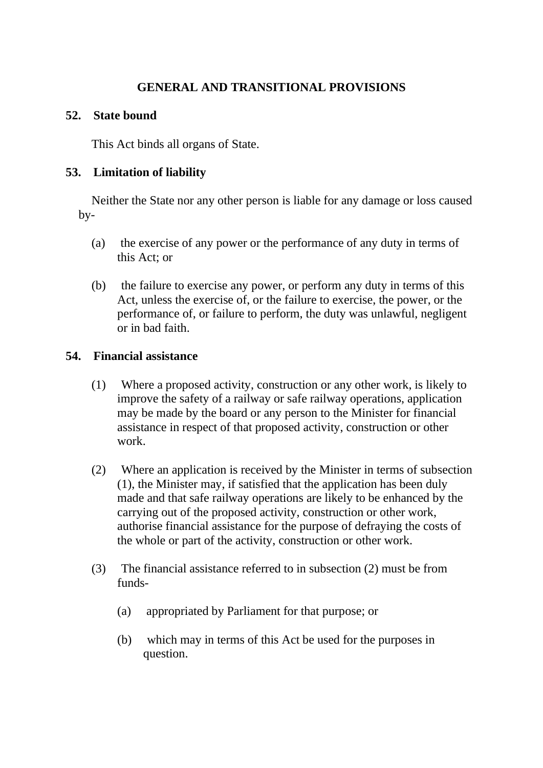## **GENERAL AND TRANSITIONAL PROVISIONS**

### **52. State bound**

This Act binds all organs of State.

### **53. Limitation of liability**

Neither the State nor any other person is liable for any damage or loss caused by-

- (a) the exercise of any power or the performance of any duty in terms of this Act; or
- (b) the failure to exercise any power, or perform any duty in terms of this Act, unless the exercise of, or the failure to exercise, the power, or the performance of, or failure to perform, the duty was unlawful, negligent or in bad faith.

### **54. Financial assistance**

- (1) Where a proposed activity, construction or any other work, is likely to improve the safety of a railway or safe railway operations, application may be made by the board or any person to the Minister for financial assistance in respect of that proposed activity, construction or other work.
- (2) Where an application is received by the Minister in terms of subsection (1), the Minister may, if satisfied that the application has been duly made and that safe railway operations are likely to be enhanced by the carrying out of the proposed activity, construction or other work, authorise financial assistance for the purpose of defraying the costs of the whole or part of the activity, construction or other work.
- (3) The financial assistance referred to in subsection (2) must be from funds-
	- (a) appropriated by Parliament for that purpose; or
	- (b) which may in terms of this Act be used for the purposes in question.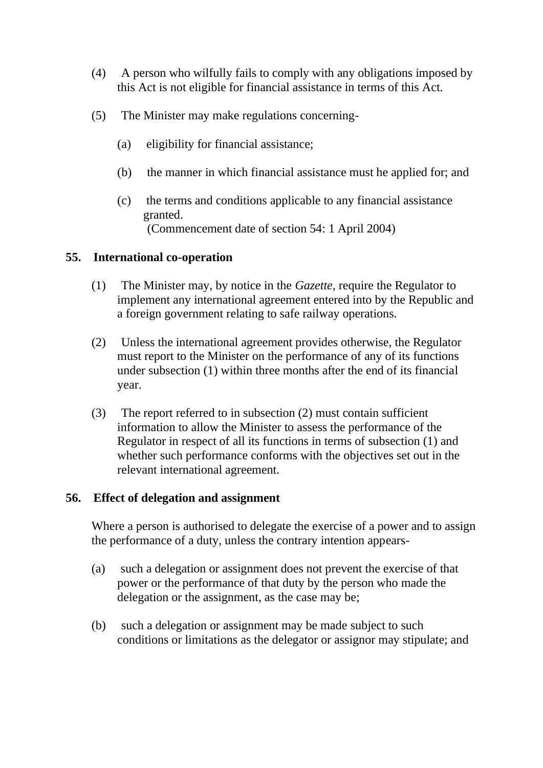- (4) A person who wilfully fails to comply with any obligations imposed by this Act is not eligible for financial assistance in terms of this Act.
- (5) The Minister may make regulations concerning-
	- (a) eligibility for financial assistance;
	- (b) the manner in which financial assistance must he applied for; and
	- (c) the terms and conditions applicable to any financial assistance granted. (Commencement date of section 54: 1 April 2004)

#### **55. International co-operation**

- (1) The Minister may, by notice in the *Gazette*, require the Regulator to implement any international agreement entered into by the Republic and a foreign government relating to safe railway operations.
- (2) Unless the international agreement provides otherwise, the Regulator must report to the Minister on the performance of any of its functions under subsection (1) within three months after the end of its financial year.
- (3) The report referred to in subsection (2) must contain sufficient information to allow the Minister to assess the performance of the Regulator in respect of all its functions in terms of subsection (1) and whether such performance conforms with the objectives set out in the relevant international agreement.

### **56. Effect of delegation and assignment**

Where a person is authorised to delegate the exercise of a power and to assign the performance of a duty, unless the contrary intention appears-

- (a) such a delegation or assignment does not prevent the exercise of that power or the performance of that duty by the person who made the delegation or the assignment, as the case may be;
- (b) such a delegation or assignment may be made subject to such conditions or limitations as the delegator or assignor may stipulate; and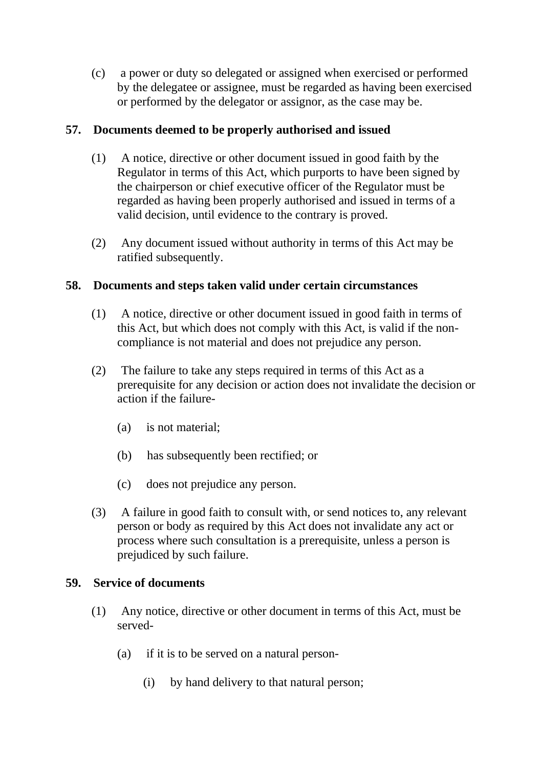(c) a power or duty so delegated or assigned when exercised or performed by the delegatee or assignee, must be regarded as having been exercised or performed by the delegator or assignor, as the case may be.

## **57. Documents deemed to be properly authorised and issued**

- (1) A notice, directive or other document issued in good faith by the Regulator in terms of this Act, which purports to have been signed by the chairperson or chief executive officer of the Regulator must be regarded as having been properly authorised and issued in terms of a valid decision, until evidence to the contrary is proved.
- (2) Any document issued without authority in terms of this Act may be ratified subsequently.

## **58. Documents and steps taken valid under certain circumstances**

- (1) A notice, directive or other document issued in good faith in terms of this Act, but which does not comply with this Act, is valid if the noncompliance is not material and does not prejudice any person.
- (2) The failure to take any steps required in terms of this Act as a prerequisite for any decision or action does not invalidate the decision or action if the failure-
	- (a) is not material;
	- (b) has subsequently been rectified; or
	- (c) does not prejudice any person.
- (3) A failure in good faith to consult with, or send notices to, any relevant person or body as required by this Act does not invalidate any act or process where such consultation is a prerequisite, unless a person is prejudiced by such failure.

## **59. Service of documents**

- (1) Any notice, directive or other document in terms of this Act, must be served-
	- (a) if it is to be served on a natural person-
		- (i) by hand delivery to that natural person;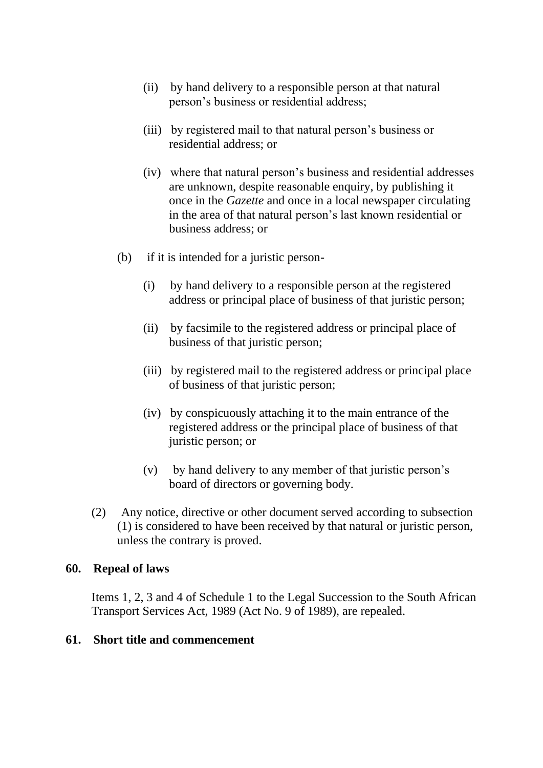- (ii) by hand delivery to a responsible person at that natural person's business or residential address;
- (iii) by registered mail to that natural person's business or residential address; or
- (iv) where that natural person's business and residential addresses are unknown, despite reasonable enquiry, by publishing it once in the *Gazette* and once in a local newspaper circulating in the area of that natural person's last known residential or business address; or
- (b) if it is intended for a juristic person-
	- (i) by hand delivery to a responsible person at the registered address or principal place of business of that juristic person;
	- (ii) by facsimile to the registered address or principal place of business of that juristic person;
	- (iii) by registered mail to the registered address or principal place of business of that juristic person;
	- (iv) by conspicuously attaching it to the main entrance of the registered address or the principal place of business of that juristic person; or
	- (v) by hand delivery to any member of that juristic person's board of directors or governing body.
- (2) Any notice, directive or other document served according to subsection (1) is considered to have been received by that natural or juristic person, unless the contrary is proved.

#### **60. Repeal of laws**

Items 1, 2, 3 and 4 of Schedule 1 to the Legal Succession to the South African Transport Services Act, 1989 (Act No. 9 of 1989), are repealed.

#### **61. Short title and commencement**